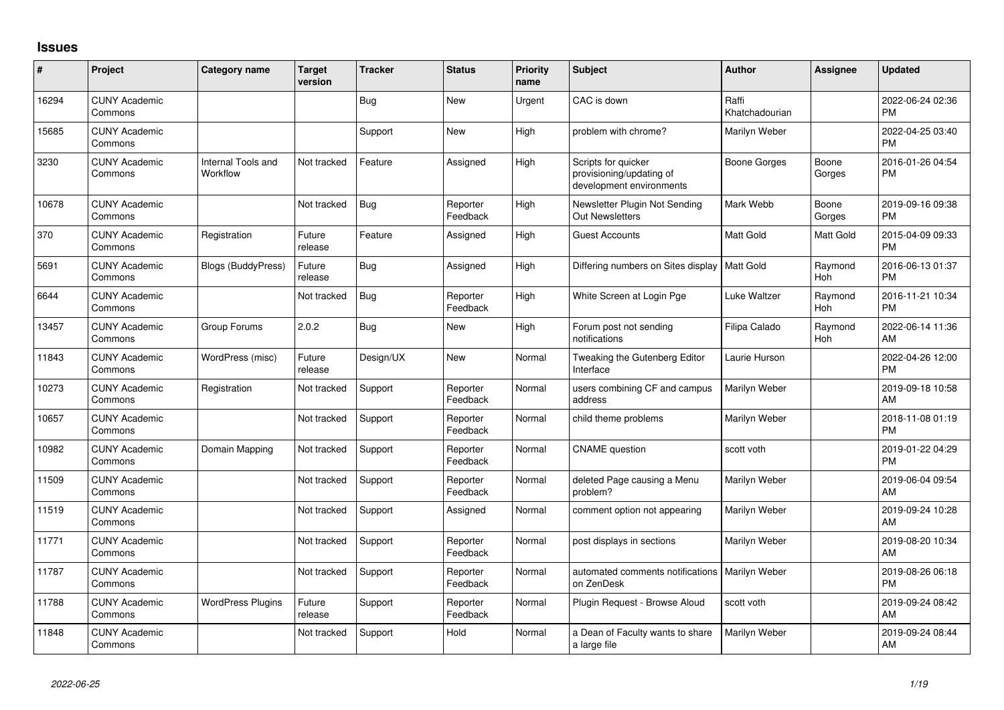## **Issues**

| #     | Project                         | <b>Category name</b>           | <b>Target</b><br>version | <b>Tracker</b> | <b>Status</b>        | <b>Priority</b><br>name | <b>Subject</b>                                                              | <b>Author</b>           | <b>Assignee</b>       | <b>Updated</b>                |
|-------|---------------------------------|--------------------------------|--------------------------|----------------|----------------------|-------------------------|-----------------------------------------------------------------------------|-------------------------|-----------------------|-------------------------------|
| 16294 | <b>CUNY Academic</b><br>Commons |                                |                          | Bug            | <b>New</b>           | Urgent                  | CAC is down                                                                 | Raffi<br>Khatchadourian |                       | 2022-06-24 02:36<br><b>PM</b> |
| 15685 | <b>CUNY Academic</b><br>Commons |                                |                          | Support        | <b>New</b>           | High                    | problem with chrome?                                                        | Marilyn Weber           |                       | 2022-04-25 03:40<br><b>PM</b> |
| 3230  | <b>CUNY Academic</b><br>Commons | Internal Tools and<br>Workflow | Not tracked              | Feature        | Assigned             | High                    | Scripts for quicker<br>provisioning/updating of<br>development environments | <b>Boone Gorges</b>     | Boone<br>Gorges       | 2016-01-26 04:54<br><b>PM</b> |
| 10678 | <b>CUNY Academic</b><br>Commons |                                | Not tracked              | <b>Bug</b>     | Reporter<br>Feedback | High                    | Newsletter Plugin Not Sending<br><b>Out Newsletters</b>                     | Mark Webb               | Boone<br>Gorges       | 2019-09-16 09:38<br><b>PM</b> |
| 370   | <b>CUNY Academic</b><br>Commons | Registration                   | Future<br>release        | Feature        | Assigned             | High                    | Guest Accounts                                                              | <b>Matt Gold</b>        | Matt Gold             | 2015-04-09 09:33<br><b>PM</b> |
| 5691  | <b>CUNY Academic</b><br>Commons | <b>Blogs (BuddyPress)</b>      | Future<br>release        | <b>Bug</b>     | Assigned             | High                    | Differing numbers on Sites display                                          | <b>Matt Gold</b>        | Raymond<br><b>Hoh</b> | 2016-06-13 01:37<br><b>PM</b> |
| 6644  | <b>CUNY Academic</b><br>Commons |                                | Not tracked              | <b>Bug</b>     | Reporter<br>Feedback | High                    | White Screen at Login Pge                                                   | <b>Luke Waltzer</b>     | Raymond<br>Hoh        | 2016-11-21 10:34<br><b>PM</b> |
| 13457 | <b>CUNY Academic</b><br>Commons | Group Forums                   | 2.0.2                    | Bug            | New                  | High                    | Forum post not sending<br>notifications                                     | Filipa Calado           | Raymond<br><b>Hoh</b> | 2022-06-14 11:36<br>AM        |
| 11843 | <b>CUNY Academic</b><br>Commons | WordPress (misc)               | Future<br>release        | Design/UX      | <b>New</b>           | Normal                  | Tweaking the Gutenberg Editor<br>Interface                                  | Laurie Hurson           |                       | 2022-04-26 12:00<br><b>PM</b> |
| 10273 | <b>CUNY Academic</b><br>Commons | Registration                   | Not tracked              | Support        | Reporter<br>Feedback | Normal                  | users combining CF and campus<br>address                                    | Marilyn Weber           |                       | 2019-09-18 10:58<br>AM        |
| 10657 | <b>CUNY Academic</b><br>Commons |                                | Not tracked              | Support        | Reporter<br>Feedback | Normal                  | child theme problems                                                        | Marilyn Weber           |                       | 2018-11-08 01:19<br><b>PM</b> |
| 10982 | <b>CUNY Academic</b><br>Commons | Domain Mapping                 | Not tracked              | Support        | Reporter<br>Feedback | Normal                  | <b>CNAME</b> question                                                       | scott voth              |                       | 2019-01-22 04:29<br><b>PM</b> |
| 11509 | <b>CUNY Academic</b><br>Commons |                                | Not tracked              | Support        | Reporter<br>Feedback | Normal                  | deleted Page causing a Menu<br>problem?                                     | Marilyn Weber           |                       | 2019-06-04 09:54<br>AM        |
| 11519 | <b>CUNY Academic</b><br>Commons |                                | Not tracked              | Support        | Assigned             | Normal                  | comment option not appearing                                                | Marilyn Weber           |                       | 2019-09-24 10:28<br>AM        |
| 11771 | <b>CUNY Academic</b><br>Commons |                                | Not tracked              | Support        | Reporter<br>Feedback | Normal                  | post displays in sections                                                   | Marilyn Weber           |                       | 2019-08-20 10:34<br>AM        |
| 11787 | <b>CUNY Academic</b><br>Commons |                                | Not tracked              | Support        | Reporter<br>Feedback | Normal                  | automated comments notifications   Marilyn Weber<br>on ZenDesk              |                         |                       | 2019-08-26 06:18<br><b>PM</b> |
| 11788 | <b>CUNY Academic</b><br>Commons | <b>WordPress Plugins</b>       | Future<br>release        | Support        | Reporter<br>Feedback | Normal                  | Plugin Request - Browse Aloud                                               | scott voth              |                       | 2019-09-24 08:42<br>AM        |
| 11848 | <b>CUNY Academic</b><br>Commons |                                | Not tracked              | Support        | Hold                 | Normal                  | a Dean of Faculty wants to share<br>a large file                            | Marilyn Weber           |                       | 2019-09-24 08:44<br>AM        |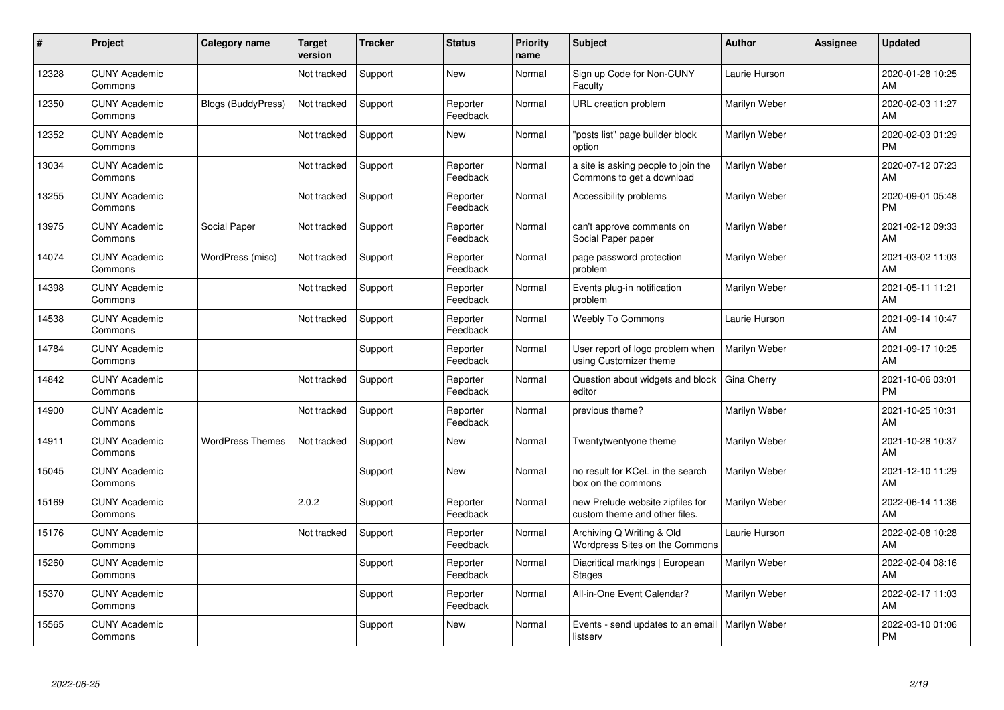| #     | Project                         | Category name             | <b>Target</b><br>version | <b>Tracker</b> | <b>Status</b>        | <b>Priority</b><br>name | <b>Subject</b>                                                    | <b>Author</b>        | <b>Assignee</b> | <b>Updated</b>                |
|-------|---------------------------------|---------------------------|--------------------------|----------------|----------------------|-------------------------|-------------------------------------------------------------------|----------------------|-----------------|-------------------------------|
| 12328 | <b>CUNY Academic</b><br>Commons |                           | Not tracked              | Support        | <b>New</b>           | Normal                  | Sign up Code for Non-CUNY<br>Faculty                              | Laurie Hurson        |                 | 2020-01-28 10:25<br>AM        |
| 12350 | <b>CUNY Academic</b><br>Commons | <b>Blogs (BuddyPress)</b> | Not tracked              | Support        | Reporter<br>Feedback | Normal                  | URL creation problem                                              | Marilyn Weber        |                 | 2020-02-03 11:27<br>AM        |
| 12352 | <b>CUNY Academic</b><br>Commons |                           | Not tracked              | Support        | <b>New</b>           | Normal                  | posts list" page builder block<br>option                          | Marilyn Weber        |                 | 2020-02-03 01:29<br><b>PM</b> |
| 13034 | <b>CUNY Academic</b><br>Commons |                           | Not tracked              | Support        | Reporter<br>Feedback | Normal                  | a site is asking people to join the<br>Commons to get a download  | Marilyn Weber        |                 | 2020-07-12 07:23<br>AM        |
| 13255 | <b>CUNY Academic</b><br>Commons |                           | Not tracked              | Support        | Reporter<br>Feedback | Normal                  | Accessibility problems                                            | Marilyn Weber        |                 | 2020-09-01 05:48<br><b>PM</b> |
| 13975 | <b>CUNY Academic</b><br>Commons | Social Paper              | Not tracked              | Support        | Reporter<br>Feedback | Normal                  | can't approve comments on<br>Social Paper paper                   | Marilyn Weber        |                 | 2021-02-12 09:33<br>AM        |
| 14074 | <b>CUNY Academic</b><br>Commons | WordPress (misc)          | Not tracked              | Support        | Reporter<br>Feedback | Normal                  | page password protection<br>problem                               | Marilyn Weber        |                 | 2021-03-02 11:03<br>AM        |
| 14398 | <b>CUNY Academic</b><br>Commons |                           | Not tracked              | Support        | Reporter<br>Feedback | Normal                  | Events plug-in notification<br>problem                            | Marilyn Weber        |                 | 2021-05-11 11:21<br>AM        |
| 14538 | <b>CUNY Academic</b><br>Commons |                           | Not tracked              | Support        | Reporter<br>Feedback | Normal                  | <b>Weebly To Commons</b>                                          | Laurie Hurson        |                 | 2021-09-14 10:47<br>AM        |
| 14784 | <b>CUNY Academic</b><br>Commons |                           |                          | Support        | Reporter<br>Feedback | Normal                  | User report of logo problem when<br>using Customizer theme        | Marilyn Weber        |                 | 2021-09-17 10:25<br>AM        |
| 14842 | <b>CUNY Academic</b><br>Commons |                           | Not tracked              | Support        | Reporter<br>Feedback | Normal                  | Question about widgets and block<br>editor                        | Gina Cherry          |                 | 2021-10-06 03:01<br><b>PM</b> |
| 14900 | <b>CUNY Academic</b><br>Commons |                           | Not tracked              | Support        | Reporter<br>Feedback | Normal                  | previous theme?                                                   | Marilyn Weber        |                 | 2021-10-25 10:31<br>AM        |
| 14911 | <b>CUNY Academic</b><br>Commons | <b>WordPress Themes</b>   | Not tracked              | Support        | <b>New</b>           | Normal                  | Twentytwentyone theme                                             | Marilyn Weber        |                 | 2021-10-28 10:37<br>AM        |
| 15045 | <b>CUNY Academic</b><br>Commons |                           |                          | Support        | <b>New</b>           | Normal                  | no result for KCeL in the search<br>box on the commons            | Marilyn Weber        |                 | 2021-12-10 11:29<br>AM        |
| 15169 | <b>CUNY Academic</b><br>Commons |                           | 2.0.2                    | Support        | Reporter<br>Feedback | Normal                  | new Prelude website zipfiles for<br>custom theme and other files. | Marilyn Weber        |                 | 2022-06-14 11:36<br>AM        |
| 15176 | <b>CUNY Academic</b><br>Commons |                           | Not tracked              | Support        | Reporter<br>Feedback | Normal                  | Archiving Q Writing & Old<br>Wordpress Sites on the Commons       | Laurie Hurson        |                 | 2022-02-08 10:28<br>AM        |
| 15260 | <b>CUNY Academic</b><br>Commons |                           |                          | Support        | Reporter<br>Feedback | Normal                  | Diacritical markings   European<br><b>Stages</b>                  | Marilyn Weber        |                 | 2022-02-04 08:16<br>AM        |
| 15370 | <b>CUNY Academic</b><br>Commons |                           |                          | Support        | Reporter<br>Feedback | Normal                  | All-in-One Event Calendar?                                        | Marilyn Weber        |                 | 2022-02-17 11:03<br>AM        |
| 15565 | <b>CUNY Academic</b><br>Commons |                           |                          | Support        | <b>New</b>           | Normal                  | Events - send updates to an email<br>listserv                     | <b>Marilyn Weber</b> |                 | 2022-03-10 01:06<br>PM        |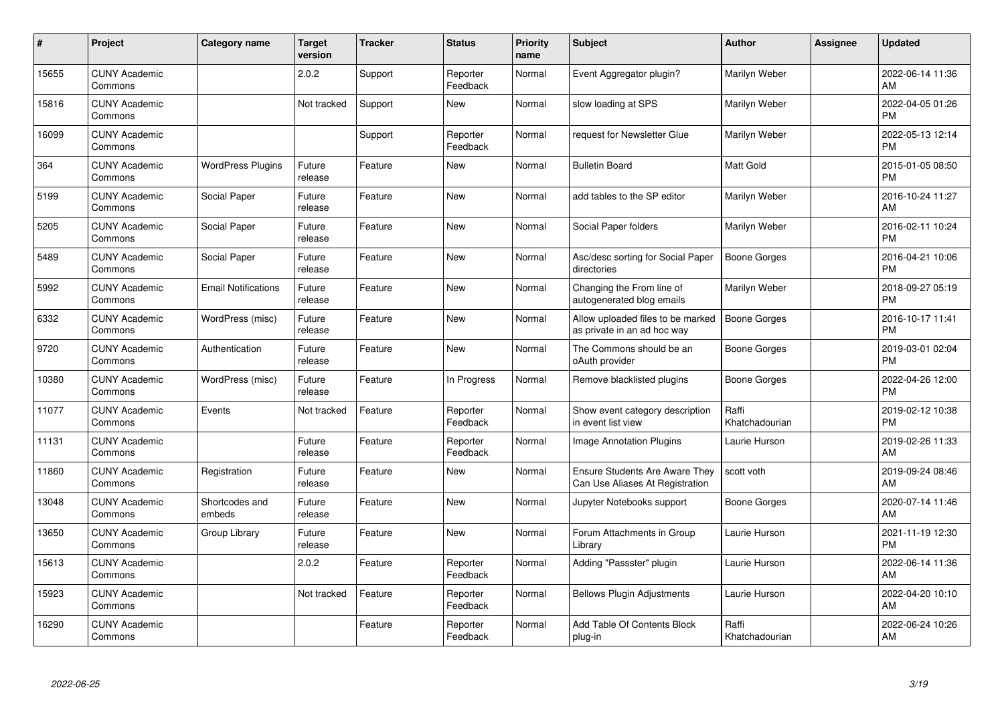| #     | Project                         | <b>Category name</b>       | <b>Target</b><br>version | <b>Tracker</b> | <b>Status</b>        | <b>Priority</b><br>name | <b>Subject</b>                                                           | <b>Author</b>           | <b>Assignee</b> | <b>Updated</b>                |
|-------|---------------------------------|----------------------------|--------------------------|----------------|----------------------|-------------------------|--------------------------------------------------------------------------|-------------------------|-----------------|-------------------------------|
| 15655 | <b>CUNY Academic</b><br>Commons |                            | 2.0.2                    | Support        | Reporter<br>Feedback | Normal                  | Event Aggregator plugin?                                                 | Marilyn Weber           |                 | 2022-06-14 11:36<br>AM        |
| 15816 | <b>CUNY Academic</b><br>Commons |                            | Not tracked              | Support        | New                  | Normal                  | slow loading at SPS                                                      | Marilyn Weber           |                 | 2022-04-05 01:26<br>PM        |
| 16099 | <b>CUNY Academic</b><br>Commons |                            |                          | Support        | Reporter<br>Feedback | Normal                  | request for Newsletter Glue                                              | Marilyn Weber           |                 | 2022-05-13 12:14<br><b>PM</b> |
| 364   | <b>CUNY Academic</b><br>Commons | <b>WordPress Plugins</b>   | Future<br>release        | Feature        | <b>New</b>           | Normal                  | <b>Bulletin Board</b>                                                    | <b>Matt Gold</b>        |                 | 2015-01-05 08:50<br><b>PM</b> |
| 5199  | <b>CUNY Academic</b><br>Commons | Social Paper               | Future<br>release        | Feature        | <b>New</b>           | Normal                  | add tables to the SP editor                                              | Marilyn Weber           |                 | 2016-10-24 11:27<br>AM        |
| 5205  | <b>CUNY Academic</b><br>Commons | Social Paper               | Future<br>release        | Feature        | <b>New</b>           | Normal                  | Social Paper folders                                                     | Marilyn Weber           |                 | 2016-02-11 10:24<br><b>PM</b> |
| 5489  | <b>CUNY Academic</b><br>Commons | Social Paper               | Future<br>release        | Feature        | <b>New</b>           | Normal                  | Asc/desc sorting for Social Paper<br>directories                         | <b>Boone Gorges</b>     |                 | 2016-04-21 10:06<br><b>PM</b> |
| 5992  | <b>CUNY Academic</b><br>Commons | <b>Email Notifications</b> | Future<br>release        | Feature        | <b>New</b>           | Normal                  | Changing the From line of<br>autogenerated blog emails                   | Marilyn Weber           |                 | 2018-09-27 05:19<br><b>PM</b> |
| 6332  | <b>CUNY Academic</b><br>Commons | WordPress (misc)           | Future<br>release        | Feature        | <b>New</b>           | Normal                  | Allow uploaded files to be marked<br>as private in an ad hoc way         | <b>Boone Gorges</b>     |                 | 2016-10-17 11:41<br><b>PM</b> |
| 9720  | <b>CUNY Academic</b><br>Commons | Authentication             | Future<br>release        | Feature        | <b>New</b>           | Normal                  | The Commons should be an<br>oAuth provider                               | Boone Gorges            |                 | 2019-03-01 02:04<br><b>PM</b> |
| 10380 | <b>CUNY Academic</b><br>Commons | WordPress (misc)           | Future<br>release        | Feature        | In Progress          | Normal                  | Remove blacklisted plugins                                               | Boone Gorges            |                 | 2022-04-26 12:00<br><b>PM</b> |
| 11077 | <b>CUNY Academic</b><br>Commons | Events                     | Not tracked              | Feature        | Reporter<br>Feedback | Normal                  | Show event category description<br>in event list view                    | Raffi<br>Khatchadourian |                 | 2019-02-12 10:38<br><b>PM</b> |
| 11131 | <b>CUNY Academic</b><br>Commons |                            | Future<br>release        | Feature        | Reporter<br>Feedback | Normal                  | Image Annotation Plugins                                                 | Laurie Hurson           |                 | 2019-02-26 11:33<br>AM        |
| 11860 | <b>CUNY Academic</b><br>Commons | Registration               | Future<br>release        | Feature        | <b>New</b>           | Normal                  | <b>Ensure Students Are Aware They</b><br>Can Use Aliases At Registration | scott voth              |                 | 2019-09-24 08:46<br>AM        |
| 13048 | <b>CUNY Academic</b><br>Commons | Shortcodes and<br>embeds   | Future<br>release        | Feature        | <b>New</b>           | Normal                  | Jupyter Notebooks support                                                | Boone Gorges            |                 | 2020-07-14 11:46<br>AM        |
| 13650 | <b>CUNY Academic</b><br>Commons | Group Library              | Future<br>release        | Feature        | <b>New</b>           | Normal                  | Forum Attachments in Group<br>Library                                    | Laurie Hurson           |                 | 2021-11-19 12:30<br><b>PM</b> |
| 15613 | <b>CUNY Academic</b><br>Commons |                            | 2.0.2                    | Feature        | Reporter<br>Feedback | Normal                  | Adding "Passster" plugin                                                 | Laurie Hurson           |                 | 2022-06-14 11:36<br>AM        |
| 15923 | <b>CUNY Academic</b><br>Commons |                            | Not tracked              | Feature        | Reporter<br>Feedback | Normal                  | <b>Bellows Plugin Adjustments</b>                                        | Laurie Hurson           |                 | 2022-04-20 10:10<br>AM        |
| 16290 | <b>CUNY Academic</b><br>Commons |                            |                          | Feature        | Reporter<br>Feedback | Normal                  | Add Table Of Contents Block<br>plug-in                                   | Raffi<br>Khatchadourian |                 | 2022-06-24 10:26<br>AM        |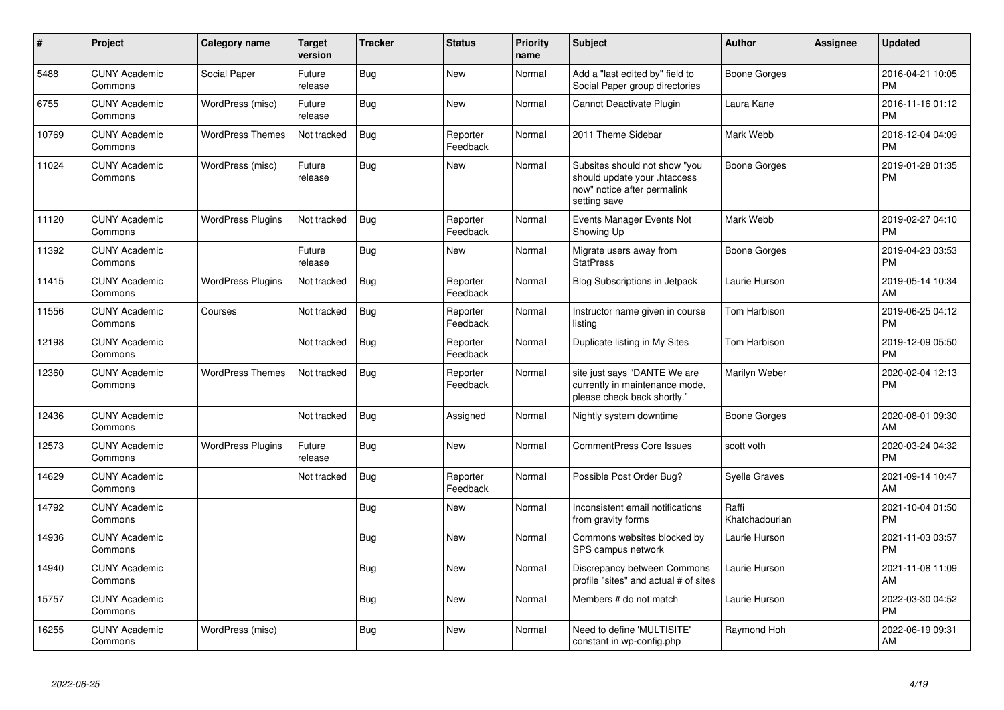| $\pmb{\sharp}$ | Project                         | <b>Category name</b>     | <b>Target</b><br>version | <b>Tracker</b> | <b>Status</b>        | <b>Priority</b><br>name | <b>Subject</b>                                                                                               | Author                  | <b>Assignee</b> | <b>Updated</b>                |
|----------------|---------------------------------|--------------------------|--------------------------|----------------|----------------------|-------------------------|--------------------------------------------------------------------------------------------------------------|-------------------------|-----------------|-------------------------------|
| 5488           | <b>CUNY Academic</b><br>Commons | Social Paper             | Future<br>release        | <b>Bug</b>     | <b>New</b>           | Normal                  | Add a "last edited by" field to<br>Social Paper group directories                                            | <b>Boone Gorges</b>     |                 | 2016-04-21 10:05<br><b>PM</b> |
| 6755           | <b>CUNY Academic</b><br>Commons | WordPress (misc)         | Future<br>release        | Bug            | <b>New</b>           | Normal                  | Cannot Deactivate Plugin                                                                                     | Laura Kane              |                 | 2016-11-16 01:12<br><b>PM</b> |
| 10769          | <b>CUNY Academic</b><br>Commons | <b>WordPress Themes</b>  | Not tracked              | <b>Bug</b>     | Reporter<br>Feedback | Normal                  | 2011 Theme Sidebar                                                                                           | Mark Webb               |                 | 2018-12-04 04:09<br><b>PM</b> |
| 11024          | <b>CUNY Academic</b><br>Commons | WordPress (misc)         | Future<br>release        | Bug            | <b>New</b>           | Normal                  | Subsites should not show "you<br>should update your .htaccess<br>now" notice after permalink<br>setting save | Boone Gorges            |                 | 2019-01-28 01:35<br><b>PM</b> |
| 11120          | <b>CUNY Academic</b><br>Commons | <b>WordPress Plugins</b> | Not tracked              | <b>Bug</b>     | Reporter<br>Feedback | Normal                  | Events Manager Events Not<br>Showing Up                                                                      | Mark Webb               |                 | 2019-02-27 04:10<br><b>PM</b> |
| 11392          | <b>CUNY Academic</b><br>Commons |                          | Future<br>release        | <b>Bug</b>     | <b>New</b>           | Normal                  | Migrate users away from<br><b>StatPress</b>                                                                  | <b>Boone Gorges</b>     |                 | 2019-04-23 03:53<br>PM        |
| 11415          | <b>CUNY Academic</b><br>Commons | <b>WordPress Plugins</b> | Not tracked              | <b>Bug</b>     | Reporter<br>Feedback | Normal                  | Blog Subscriptions in Jetpack                                                                                | Laurie Hurson           |                 | 2019-05-14 10:34<br>AM        |
| 11556          | <b>CUNY Academic</b><br>Commons | Courses                  | Not tracked              | <b>Bug</b>     | Reporter<br>Feedback | Normal                  | Instructor name given in course<br>listing                                                                   | Tom Harbison            |                 | 2019-06-25 04:12<br>PM        |
| 12198          | <b>CUNY Academic</b><br>Commons |                          | Not tracked              | <b>Bug</b>     | Reporter<br>Feedback | Normal                  | Duplicate listing in My Sites                                                                                | Tom Harbison            |                 | 2019-12-09 05:50<br><b>PM</b> |
| 12360          | <b>CUNY Academic</b><br>Commons | <b>WordPress Themes</b>  | Not tracked              | <b>Bug</b>     | Reporter<br>Feedback | Normal                  | site just says "DANTE We are<br>currently in maintenance mode,<br>please check back shortly."                | Marilyn Weber           |                 | 2020-02-04 12:13<br><b>PM</b> |
| 12436          | <b>CUNY Academic</b><br>Commons |                          | Not tracked              | <b>Bug</b>     | Assigned             | Normal                  | Nightly system downtime                                                                                      | <b>Boone Gorges</b>     |                 | 2020-08-01 09:30<br>AM        |
| 12573          | <b>CUNY Academic</b><br>Commons | <b>WordPress Plugins</b> | Future<br>release        | <b>Bug</b>     | <b>New</b>           | Normal                  | CommentPress Core Issues                                                                                     | scott voth              |                 | 2020-03-24 04:32<br><b>PM</b> |
| 14629          | <b>CUNY Academic</b><br>Commons |                          | Not tracked              | <b>Bug</b>     | Reporter<br>Feedback | Normal                  | Possible Post Order Bug?                                                                                     | <b>Syelle Graves</b>    |                 | 2021-09-14 10:47<br>AM        |
| 14792          | <b>CUNY Academic</b><br>Commons |                          |                          | Bug            | <b>New</b>           | Normal                  | Inconsistent email notifications<br>from gravity forms                                                       | Raffi<br>Khatchadourian |                 | 2021-10-04 01:50<br><b>PM</b> |
| 14936          | <b>CUNY Academic</b><br>Commons |                          |                          | <b>Bug</b>     | New                  | Normal                  | Commons websites blocked by<br>SPS campus network                                                            | Laurie Hurson           |                 | 2021-11-03 03:57<br><b>PM</b> |
| 14940          | <b>CUNY Academic</b><br>Commons |                          |                          | Bug            | <b>New</b>           | Normal                  | Discrepancy between Commons<br>profile "sites" and actual # of sites                                         | Laurie Hurson           |                 | 2021-11-08 11:09<br>AM        |
| 15757          | <b>CUNY Academic</b><br>Commons |                          |                          | Bug            | <b>New</b>           | Normal                  | Members # do not match                                                                                       | Laurie Hurson           |                 | 2022-03-30 04:52<br><b>PM</b> |
| 16255          | <b>CUNY Academic</b><br>Commons | WordPress (misc)         |                          | <b>Bug</b>     | <b>New</b>           | Normal                  | Need to define 'MULTISITE'<br>constant in wp-config.php                                                      | Raymond Hoh             |                 | 2022-06-19 09:31<br>AM        |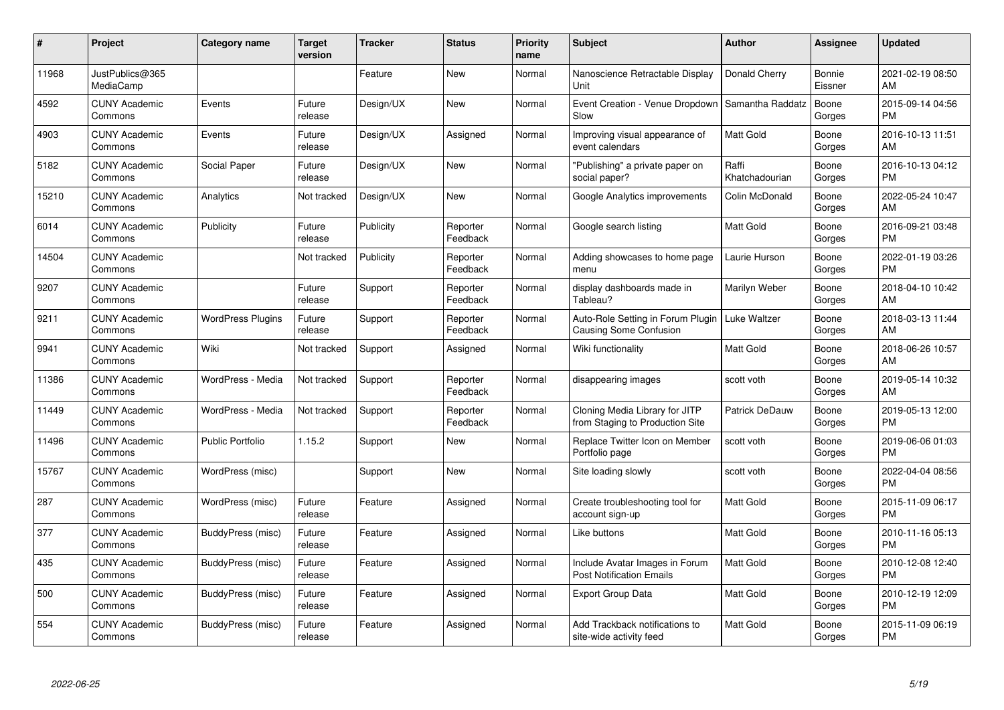| #     | Project                         | <b>Category name</b>     | Target<br>version | <b>Tracker</b> | <b>Status</b>        | <b>Priority</b><br>name | <b>Subject</b>                                                                    | <b>Author</b>           | <b>Assignee</b>   | <b>Updated</b>                |
|-------|---------------------------------|--------------------------|-------------------|----------------|----------------------|-------------------------|-----------------------------------------------------------------------------------|-------------------------|-------------------|-------------------------------|
| 11968 | JustPublics@365<br>MediaCamp    |                          |                   | Feature        | <b>New</b>           | Normal                  | Nanoscience Retractable Display<br>Unit                                           | Donald Cherry           | Bonnie<br>Eissner | 2021-02-19 08:50<br>AM        |
| 4592  | <b>CUNY Academic</b><br>Commons | Events                   | Future<br>release | Design/UX      | <b>New</b>           | Normal                  | Event Creation - Venue Dropdown<br>Slow                                           | Samantha Raddatz        | Boone<br>Gorges   | 2015-09-14 04:56<br><b>PM</b> |
| 4903  | <b>CUNY Academic</b><br>Commons | Events                   | Future<br>release | Design/UX      | Assigned             | Normal                  | Improving visual appearance of<br>event calendars                                 | <b>Matt Gold</b>        | Boone<br>Gorges   | 2016-10-13 11:51<br>AM        |
| 5182  | <b>CUNY Academic</b><br>Commons | Social Paper             | Future<br>release | Design/UX      | New                  | Normal                  | 'Publishing" a private paper on<br>social paper?                                  | Raffi<br>Khatchadourian | Boone<br>Gorges   | 2016-10-13 04:12<br><b>PM</b> |
| 15210 | <b>CUNY Academic</b><br>Commons | Analytics                | Not tracked       | Design/UX      | <b>New</b>           | Normal                  | Google Analytics improvements                                                     | Colin McDonald          | Boone<br>Gorges   | 2022-05-24 10:47<br>AM        |
| 6014  | <b>CUNY Academic</b><br>Commons | Publicity                | Future<br>release | Publicity      | Reporter<br>Feedback | Normal                  | Google search listing                                                             | <b>Matt Gold</b>        | Boone<br>Gorges   | 2016-09-21 03:48<br><b>PM</b> |
| 14504 | <b>CUNY Academic</b><br>Commons |                          | Not tracked       | Publicity      | Reporter<br>Feedback | Normal                  | Adding showcases to home page<br>menu                                             | Laurie Hurson           | Boone<br>Gorges   | 2022-01-19 03:26<br><b>PM</b> |
| 9207  | <b>CUNY Academic</b><br>Commons |                          | Future<br>release | Support        | Reporter<br>Feedback | Normal                  | display dashboards made in<br>Tableau?                                            | Marilyn Weber           | Boone<br>Gorges   | 2018-04-10 10:42<br>AM        |
| 9211  | <b>CUNY Academic</b><br>Commons | <b>WordPress Plugins</b> | Future<br>release | Support        | Reporter<br>Feedback | Normal                  | Auto-Role Setting in Forum Plugin   Luke Waltzer<br><b>Causing Some Confusion</b> |                         | Boone<br>Gorges   | 2018-03-13 11:44<br>AM        |
| 9941  | <b>CUNY Academic</b><br>Commons | Wiki                     | Not tracked       | Support        | Assigned             | Normal                  | Wiki functionality                                                                | <b>Matt Gold</b>        | Boone<br>Gorges   | 2018-06-26 10:57<br>AM        |
| 11386 | <b>CUNY Academic</b><br>Commons | WordPress - Media        | Not tracked       | Support        | Reporter<br>Feedback | Normal                  | disappearing images                                                               | scott voth              | Boone<br>Gorges   | 2019-05-14 10:32<br>AM        |
| 11449 | <b>CUNY Academic</b><br>Commons | WordPress - Media        | Not tracked       | Support        | Reporter<br>Feedback | Normal                  | Cloning Media Library for JITP<br>from Staging to Production Site                 | Patrick DeDauw          | Boone<br>Gorges   | 2019-05-13 12:00<br><b>PM</b> |
| 11496 | <b>CUNY Academic</b><br>Commons | <b>Public Portfolio</b>  | 1.15.2            | Support        | New                  | Normal                  | Replace Twitter Icon on Member<br>Portfolio page                                  | scott voth              | Boone<br>Gorges   | 2019-06-06 01:03<br><b>PM</b> |
| 15767 | <b>CUNY Academic</b><br>Commons | WordPress (misc)         |                   | Support        | <b>New</b>           | Normal                  | Site loading slowly                                                               | scott voth              | Boone<br>Gorges   | 2022-04-04 08:56<br><b>PM</b> |
| 287   | <b>CUNY Academic</b><br>Commons | WordPress (misc)         | Future<br>release | Feature        | Assigned             | Normal                  | Create troubleshooting tool for<br>account sign-up                                | <b>Matt Gold</b>        | Boone<br>Gorges   | 2015-11-09 06:17<br><b>PM</b> |
| 377   | <b>CUNY Academic</b><br>Commons | BuddyPress (misc)        | Future<br>release | Feature        | Assigned             | Normal                  | Like buttons                                                                      | <b>Matt Gold</b>        | Boone<br>Gorges   | 2010-11-16 05:13<br><b>PM</b> |
| 435   | <b>CUNY Academic</b><br>Commons | BuddyPress (misc)        | Future<br>release | Feature        | Assigned             | Normal                  | Include Avatar Images in Forum<br><b>Post Notification Emails</b>                 | <b>Matt Gold</b>        | Boone<br>Gorges   | 2010-12-08 12:40<br><b>PM</b> |
| 500   | <b>CUNY Academic</b><br>Commons | BuddyPress (misc)        | Future<br>release | Feature        | Assigned             | Normal                  | <b>Export Group Data</b>                                                          | Matt Gold               | Boone<br>Gorges   | 2010-12-19 12:09<br><b>PM</b> |
| 554   | <b>CUNY Academic</b><br>Commons | BuddyPress (misc)        | Future<br>release | Feature        | Assigned             | Normal                  | Add Trackback notifications to<br>site-wide activity feed                         | <b>Matt Gold</b>        | Boone<br>Gorges   | 2015-11-09 06:19<br><b>PM</b> |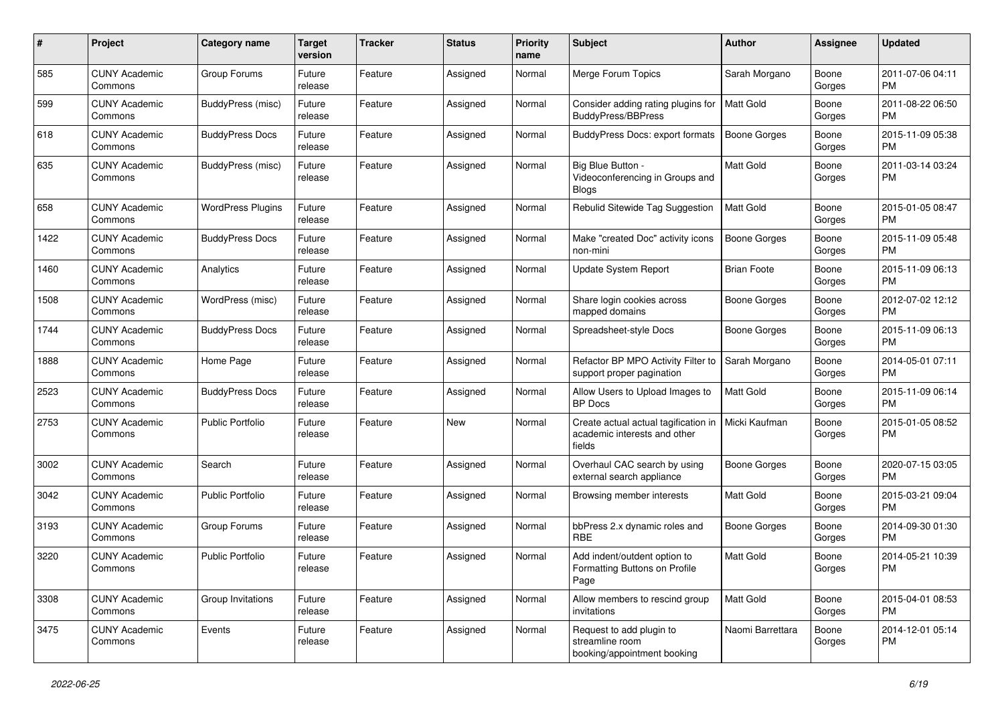| #    | Project                         | <b>Category name</b>     | <b>Target</b><br>version | <b>Tracker</b> | <b>Status</b> | <b>Priority</b><br>name | Subject                                                                        | Author              | <b>Assignee</b> | <b>Updated</b>                |
|------|---------------------------------|--------------------------|--------------------------|----------------|---------------|-------------------------|--------------------------------------------------------------------------------|---------------------|-----------------|-------------------------------|
| 585  | <b>CUNY Academic</b><br>Commons | Group Forums             | Future<br>release        | Feature        | Assigned      | Normal                  | Merge Forum Topics                                                             | Sarah Morgano       | Boone<br>Gorges | 2011-07-06 04:11<br>PM        |
| 599  | <b>CUNY Academic</b><br>Commons | BuddyPress (misc)        | Future<br>release        | Feature        | Assigned      | Normal                  | Consider adding rating plugins for<br>BuddyPress/BBPress                       | <b>Matt Gold</b>    | Boone<br>Gorges | 2011-08-22 06:50<br><b>PM</b> |
| 618  | <b>CUNY Academic</b><br>Commons | <b>BuddyPress Docs</b>   | Future<br>release        | Feature        | Assigned      | Normal                  | <b>BuddyPress Docs: export formats</b>                                         | <b>Boone Gorges</b> | Boone<br>Gorges | 2015-11-09 05:38<br>PM        |
| 635  | <b>CUNY Academic</b><br>Commons | BuddyPress (misc)        | Future<br>release        | Feature        | Assigned      | Normal                  | Big Blue Button -<br>Videoconferencing in Groups and<br><b>Blogs</b>           | <b>Matt Gold</b>    | Boone<br>Gorges | 2011-03-14 03:24<br>PM        |
| 658  | <b>CUNY Academic</b><br>Commons | <b>WordPress Plugins</b> | Future<br>release        | Feature        | Assigned      | Normal                  | Rebulid Sitewide Tag Suggestion                                                | <b>Matt Gold</b>    | Boone<br>Gorges | 2015-01-05 08:47<br>PM        |
| 1422 | <b>CUNY Academic</b><br>Commons | <b>BuddyPress Docs</b>   | Future<br>release        | Feature        | Assigned      | Normal                  | Make "created Doc" activity icons<br>non-mini                                  | <b>Boone Gorges</b> | Boone<br>Gorges | 2015-11-09 05:48<br>PM        |
| 1460 | <b>CUNY Academic</b><br>Commons | Analytics                | Future<br>release        | Feature        | Assigned      | Normal                  | Update System Report                                                           | <b>Brian Foote</b>  | Boone<br>Gorges | 2015-11-09 06:13<br>PM        |
| 1508 | <b>CUNY Academic</b><br>Commons | WordPress (misc)         | Future<br>release        | Feature        | Assigned      | Normal                  | Share login cookies across<br>mapped domains                                   | <b>Boone Gorges</b> | Boone<br>Gorges | 2012-07-02 12:12<br>PM        |
| 1744 | <b>CUNY Academic</b><br>Commons | <b>BuddyPress Docs</b>   | Future<br>release        | Feature        | Assigned      | Normal                  | Spreadsheet-style Docs                                                         | <b>Boone Gorges</b> | Boone<br>Gorges | 2015-11-09 06:13<br><b>PM</b> |
| 1888 | <b>CUNY Academic</b><br>Commons | Home Page                | Future<br>release        | Feature        | Assigned      | Normal                  | Refactor BP MPO Activity Filter to<br>support proper pagination                | Sarah Morgano       | Boone<br>Gorges | 2014-05-01 07:11<br><b>PM</b> |
| 2523 | <b>CUNY Academic</b><br>Commons | <b>BuddyPress Docs</b>   | Future<br>release        | Feature        | Assigned      | Normal                  | Allow Users to Upload Images to<br><b>BP</b> Docs                              | Matt Gold           | Boone<br>Gorges | 2015-11-09 06:14<br><b>PM</b> |
| 2753 | <b>CUNY Academic</b><br>Commons | <b>Public Portfolio</b>  | Future<br>release        | Feature        | New           | Normal                  | Create actual actual tagification in<br>academic interests and other<br>fields | Micki Kaufman       | Boone<br>Gorges | 2015-01-05 08:52<br>PM        |
| 3002 | <b>CUNY Academic</b><br>Commons | Search                   | Future<br>release        | Feature        | Assigned      | Normal                  | Overhaul CAC search by using<br>external search appliance                      | <b>Boone Gorges</b> | Boone<br>Gorges | 2020-07-15 03:05<br><b>PM</b> |
| 3042 | <b>CUNY Academic</b><br>Commons | Public Portfolio         | Future<br>release        | Feature        | Assigned      | Normal                  | Browsing member interests                                                      | Matt Gold           | Boone<br>Gorges | 2015-03-21 09:04<br><b>PM</b> |
| 3193 | <b>CUNY Academic</b><br>Commons | Group Forums             | Future<br>release        | Feature        | Assigned      | Normal                  | bbPress 2.x dynamic roles and<br><b>RBE</b>                                    | <b>Boone Gorges</b> | Boone<br>Gorges | 2014-09-30 01:30<br><b>PM</b> |
| 3220 | <b>CUNY Academic</b><br>Commons | <b>Public Portfolio</b>  | Future<br>release        | Feature        | Assigned      | Normal                  | Add indent/outdent option to<br>Formatting Buttons on Profile<br>Page          | Matt Gold           | Boone<br>Gorges | 2014-05-21 10:39<br>PM        |
| 3308 | <b>CUNY Academic</b><br>Commons | Group Invitations        | Future<br>release        | Feature        | Assigned      | Normal                  | Allow members to rescind group<br>invitations                                  | Matt Gold           | Boone<br>Gorges | 2015-04-01 08:53<br><b>PM</b> |
| 3475 | <b>CUNY Academic</b><br>Commons | Events                   | Future<br>release        | Feature        | Assigned      | Normal                  | Request to add plugin to<br>streamline room<br>booking/appointment booking     | Naomi Barrettara    | Boone<br>Gorges | 2014-12-01 05:14<br>PM        |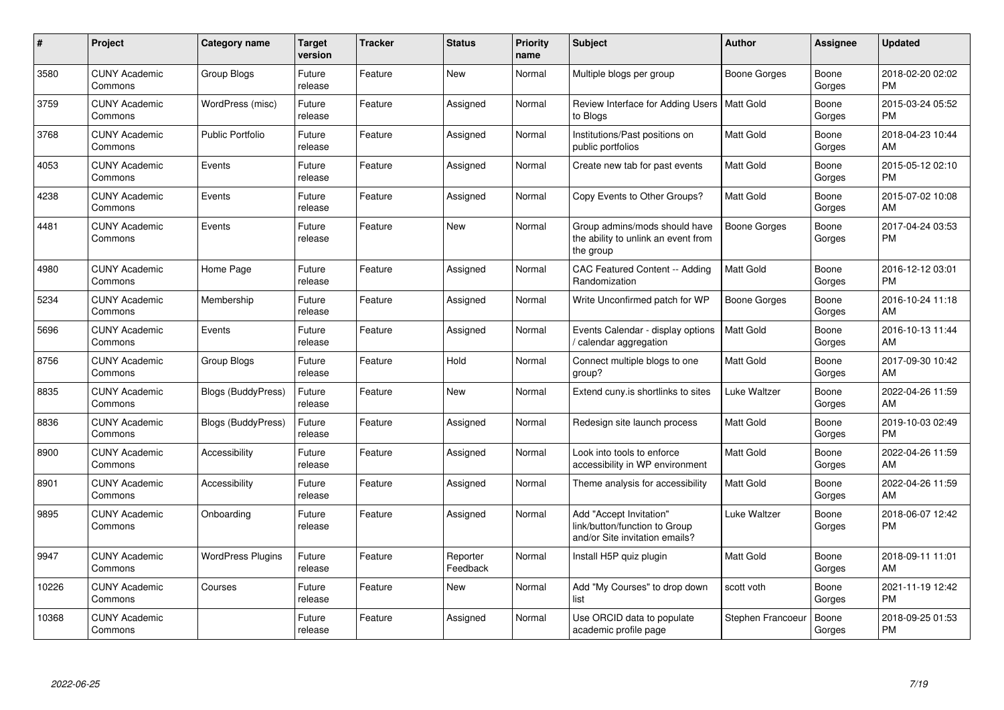| #     | Project                         | <b>Category name</b>      | Target<br>version | <b>Tracker</b> | <b>Status</b>        | <b>Priority</b><br>name | <b>Subject</b>                                                                             | <b>Author</b>       | <b>Assignee</b> | <b>Updated</b>                |
|-------|---------------------------------|---------------------------|-------------------|----------------|----------------------|-------------------------|--------------------------------------------------------------------------------------------|---------------------|-----------------|-------------------------------|
| 3580  | <b>CUNY Academic</b><br>Commons | Group Blogs               | Future<br>release | Feature        | New                  | Normal                  | Multiple blogs per group                                                                   | Boone Gorges        | Boone<br>Gorges | 2018-02-20 02:02<br><b>PM</b> |
| 3759  | <b>CUNY Academic</b><br>Commons | WordPress (misc)          | Future<br>release | Feature        | Assigned             | Normal                  | Review Interface for Adding Users   Matt Gold<br>to Blogs                                  |                     | Boone<br>Gorges | 2015-03-24 05:52<br><b>PM</b> |
| 3768  | <b>CUNY Academic</b><br>Commons | <b>Public Portfolio</b>   | Future<br>release | Feature        | Assigned             | Normal                  | Institutions/Past positions on<br>public portfolios                                        | <b>Matt Gold</b>    | Boone<br>Gorges | 2018-04-23 10:44<br>AM        |
| 4053  | <b>CUNY Academic</b><br>Commons | Events                    | Future<br>release | Feature        | Assigned             | Normal                  | Create new tab for past events                                                             | Matt Gold           | Boone<br>Gorges | 2015-05-12 02:10<br><b>PM</b> |
| 4238  | <b>CUNY Academic</b><br>Commons | Events                    | Future<br>release | Feature        | Assigned             | Normal                  | Copy Events to Other Groups?                                                               | Matt Gold           | Boone<br>Gorges | 2015-07-02 10:08<br>AM        |
| 4481  | <b>CUNY Academic</b><br>Commons | Events                    | Future<br>release | Feature        | New                  | Normal                  | Group admins/mods should have<br>the ability to unlink an event from<br>the group          | Boone Gorges        | Boone<br>Gorges | 2017-04-24 03:53<br><b>PM</b> |
| 4980  | <b>CUNY Academic</b><br>Commons | Home Page                 | Future<br>release | Feature        | Assigned             | Normal                  | <b>CAC Featured Content -- Adding</b><br>Randomization                                     | Matt Gold           | Boone<br>Gorges | 2016-12-12 03:01<br><b>PM</b> |
| 5234  | <b>CUNY Academic</b><br>Commons | Membership                | Future<br>release | Feature        | Assigned             | Normal                  | Write Unconfirmed patch for WP                                                             | <b>Boone Gorges</b> | Boone<br>Gorges | 2016-10-24 11:18<br>AM        |
| 5696  | <b>CUNY Academic</b><br>Commons | Events                    | Future<br>release | Feature        | Assigned             | Normal                  | Events Calendar - display options<br>calendar aggregation                                  | <b>Matt Gold</b>    | Boone<br>Gorges | 2016-10-13 11:44<br>AM        |
| 8756  | <b>CUNY Academic</b><br>Commons | Group Blogs               | Future<br>release | Feature        | Hold                 | Normal                  | Connect multiple blogs to one<br>group?                                                    | Matt Gold           | Boone<br>Gorges | 2017-09-30 10:42<br>AM        |
| 8835  | <b>CUNY Academic</b><br>Commons | Blogs (BuddyPress)        | Future<br>release | Feature        | New                  | Normal                  | Extend cuny is shortlinks to sites                                                         | Luke Waltzer        | Boone<br>Gorges | 2022-04-26 11:59<br>AM        |
| 8836  | <b>CUNY Academic</b><br>Commons | <b>Blogs (BuddyPress)</b> | Future<br>release | Feature        | Assigned             | Normal                  | Redesign site launch process                                                               | <b>Matt Gold</b>    | Boone<br>Gorges | 2019-10-03 02:49<br><b>PM</b> |
| 8900  | <b>CUNY Academic</b><br>Commons | Accessibility             | Future<br>release | Feature        | Assigned             | Normal                  | Look into tools to enforce<br>accessibility in WP environment                              | Matt Gold           | Boone<br>Gorges | 2022-04-26 11:59<br>AM        |
| 8901  | <b>CUNY Academic</b><br>Commons | Accessibility             | Future<br>release | Feature        | Assigned             | Normal                  | Theme analysis for accessibility                                                           | Matt Gold           | Boone<br>Gorges | 2022-04-26 11:59<br>AM        |
| 9895  | <b>CUNY Academic</b><br>Commons | Onboarding                | Future<br>release | Feature        | Assigned             | Normal                  | Add "Accept Invitation"<br>link/button/function to Group<br>and/or Site invitation emails? | Luke Waltzer        | Boone<br>Gorges | 2018-06-07 12:42<br><b>PM</b> |
| 9947  | <b>CUNY Academic</b><br>Commons | <b>WordPress Plugins</b>  | Future<br>release | Feature        | Reporter<br>Feedback | Normal                  | Install H5P quiz plugin                                                                    | <b>Matt Gold</b>    | Boone<br>Gorges | 2018-09-11 11:01<br>AM        |
| 10226 | <b>CUNY Academic</b><br>Commons | Courses                   | Future<br>release | Feature        | <b>New</b>           | Normal                  | Add "My Courses" to drop down<br>list                                                      | scott voth          | Boone<br>Gorges | 2021-11-19 12:42<br><b>PM</b> |
| 10368 | <b>CUNY Academic</b><br>Commons |                           | Future<br>release | Feature        | Assigned             | Normal                  | Use ORCID data to populate<br>academic profile page                                        | Stephen Francoeur   | Boone<br>Gorges | 2018-09-25 01:53<br><b>PM</b> |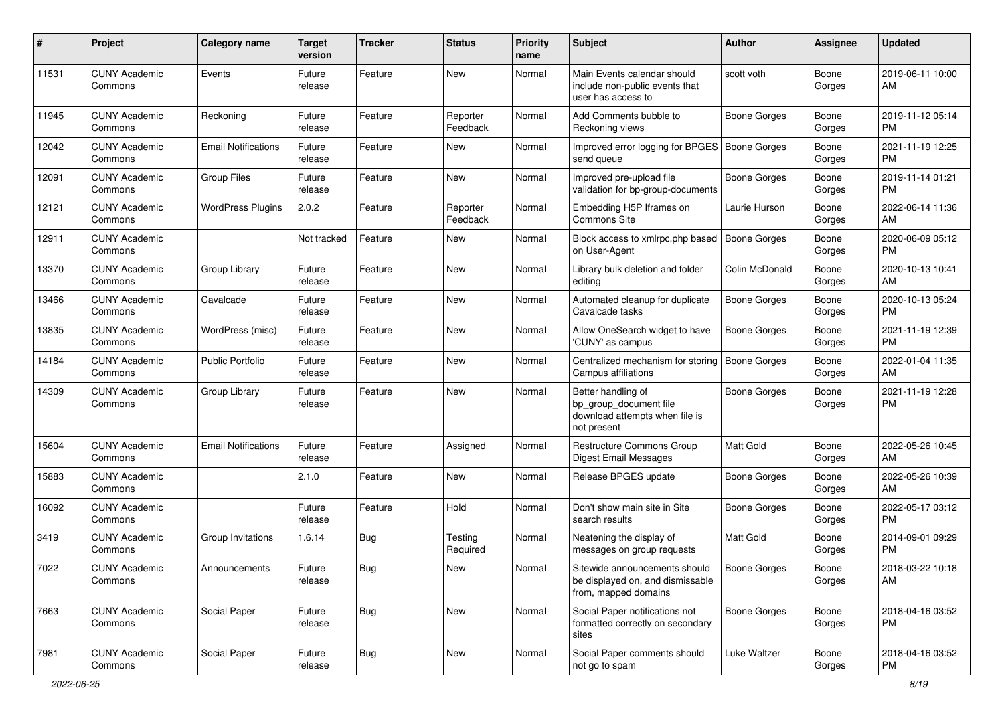| #     | Project                         | <b>Category name</b>       | <b>Target</b><br>version | <b>Tracker</b> | <b>Status</b>        | <b>Priority</b><br>name | <b>Subject</b>                                                                                | <b>Author</b>       | <b>Assignee</b> | <b>Updated</b>                |
|-------|---------------------------------|----------------------------|--------------------------|----------------|----------------------|-------------------------|-----------------------------------------------------------------------------------------------|---------------------|-----------------|-------------------------------|
| 11531 | <b>CUNY Academic</b><br>Commons | Events                     | Future<br>release        | Feature        | <b>New</b>           | Normal                  | Main Events calendar should<br>include non-public events that<br>user has access to           | scott voth          | Boone<br>Gorges | 2019-06-11 10:00<br>AM        |
| 11945 | <b>CUNY Academic</b><br>Commons | Reckoning                  | Future<br>release        | Feature        | Reporter<br>Feedback | Normal                  | Add Comments bubble to<br>Reckoning views                                                     | <b>Boone Gorges</b> | Boone<br>Gorges | 2019-11-12 05:14<br><b>PM</b> |
| 12042 | <b>CUNY Academic</b><br>Commons | <b>Email Notifications</b> | Future<br>release        | Feature        | New                  | Normal                  | Improved error logging for BPGES   Boone Gorges<br>send queue                                 |                     | Boone<br>Gorges | 2021-11-19 12:25<br><b>PM</b> |
| 12091 | <b>CUNY Academic</b><br>Commons | <b>Group Files</b>         | Future<br>release        | Feature        | New                  | Normal                  | Improved pre-upload file<br>validation for bp-group-documents                                 | <b>Boone Gorges</b> | Boone<br>Gorges | 2019-11-14 01:21<br><b>PM</b> |
| 12121 | <b>CUNY Academic</b><br>Commons | <b>WordPress Plugins</b>   | 2.0.2                    | Feature        | Reporter<br>Feedback | Normal                  | Embedding H5P Iframes on<br>Commons Site                                                      | Laurie Hurson       | Boone<br>Gorges | 2022-06-14 11:36<br>AM        |
| 12911 | <b>CUNY Academic</b><br>Commons |                            | Not tracked              | Feature        | New                  | Normal                  | Block access to xmlrpc.php based<br>on User-Agent                                             | <b>Boone Gorges</b> | Boone<br>Gorges | 2020-06-09 05:12<br><b>PM</b> |
| 13370 | <b>CUNY Academic</b><br>Commons | Group Library              | Future<br>release        | Feature        | New                  | Normal                  | Library bulk deletion and folder<br>editing                                                   | Colin McDonald      | Boone<br>Gorges | 2020-10-13 10:41<br>AM        |
| 13466 | <b>CUNY Academic</b><br>Commons | Cavalcade                  | Future<br>release        | Feature        | New                  | Normal                  | Automated cleanup for duplicate<br>Cavalcade tasks                                            | <b>Boone Gorges</b> | Boone<br>Gorges | 2020-10-13 05:24<br><b>PM</b> |
| 13835 | <b>CUNY Academic</b><br>Commons | WordPress (misc)           | Future<br>release        | Feature        | <b>New</b>           | Normal                  | Allow OneSearch widget to have<br>'CUNY' as campus                                            | <b>Boone Gorges</b> | Boone<br>Gorges | 2021-11-19 12:39<br><b>PM</b> |
| 14184 | <b>CUNY Academic</b><br>Commons | Public Portfolio           | Future<br>release        | Feature        | New                  | Normal                  | Centralized mechanism for storing<br>Campus affiliations                                      | <b>Boone Gorges</b> | Boone<br>Gorges | 2022-01-04 11:35<br>AM        |
| 14309 | <b>CUNY Academic</b><br>Commons | Group Library              | Future<br>release        | Feature        | <b>New</b>           | Normal                  | Better handling of<br>bp_group_document file<br>download attempts when file is<br>not present | <b>Boone Gorges</b> | Boone<br>Gorges | 2021-11-19 12:28<br><b>PM</b> |
| 15604 | <b>CUNY Academic</b><br>Commons | <b>Email Notifications</b> | Future<br>release        | Feature        | Assigned             | Normal                  | Restructure Commons Group<br><b>Digest Email Messages</b>                                     | Matt Gold           | Boone<br>Gorges | 2022-05-26 10:45<br>AM        |
| 15883 | <b>CUNY Academic</b><br>Commons |                            | 2.1.0                    | Feature        | New                  | Normal                  | Release BPGES update                                                                          | <b>Boone Gorges</b> | Boone<br>Gorges | 2022-05-26 10:39<br>AM        |
| 16092 | <b>CUNY Academic</b><br>Commons |                            | Future<br>release        | Feature        | Hold                 | Normal                  | Don't show main site in Site<br>search results                                                | <b>Boone Gorges</b> | Boone<br>Gorges | 2022-05-17 03:12<br><b>PM</b> |
| 3419  | <b>CUNY Academic</b><br>Commons | Group Invitations          | 1.6.14                   | Bug            | Testing<br>Required  | Normal                  | Neatening the display of<br>messages on group requests                                        | Matt Gold           | Boone<br>Gorges | 2014-09-01 09:29<br><b>PM</b> |
| 7022  | <b>CUNY Academic</b><br>Commons | Announcements              | Future<br>release        | <b>Bug</b>     | New                  | Normal                  | Sitewide announcements should<br>be displayed on, and dismissable<br>from, mapped domains     | Boone Gorges        | Boone<br>Gorges | 2018-03-22 10:18<br>AM        |
| 7663  | <b>CUNY Academic</b><br>Commons | Social Paper               | Future<br>release        | Bug            | New                  | Normal                  | Social Paper notifications not<br>formatted correctly on secondary<br>sites                   | <b>Boone Gorges</b> | Boone<br>Gorges | 2018-04-16 03:52<br><b>PM</b> |
| 7981  | <b>CUNY Academic</b><br>Commons | Social Paper               | Future<br>release        | Bug            | New                  | Normal                  | Social Paper comments should<br>not go to spam                                                | Luke Waltzer        | Boone<br>Gorges | 2018-04-16 03:52<br>PM        |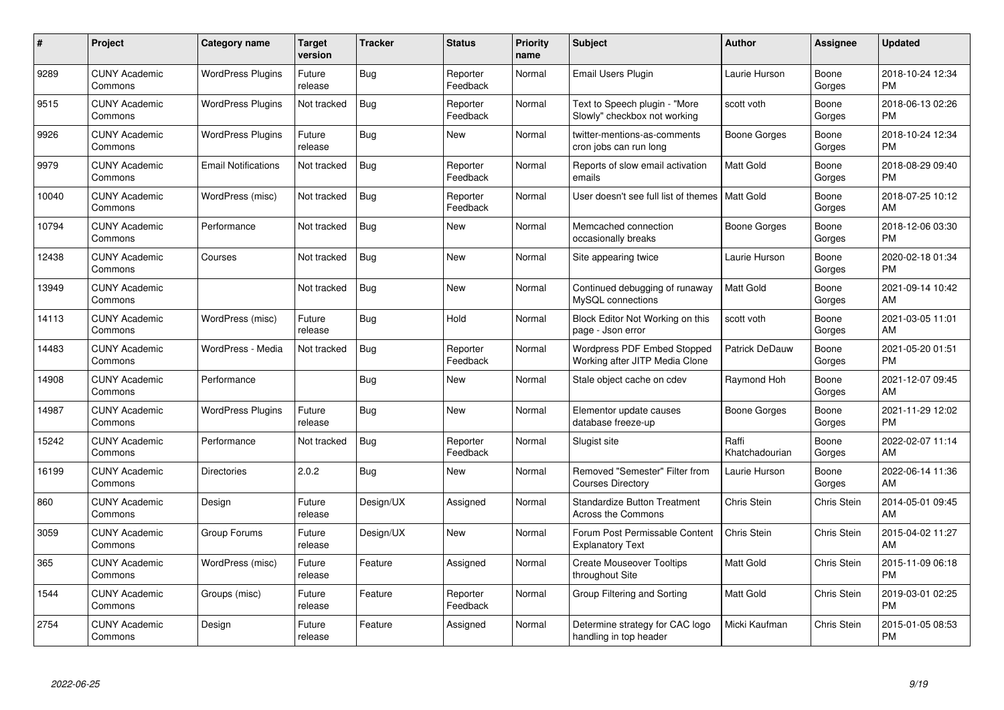| #     | Project                         | <b>Category name</b>       | Target<br>version | <b>Tracker</b> | <b>Status</b>        | <b>Priority</b><br>name | <b>Subject</b>                                                   | <b>Author</b>           | <b>Assignee</b>    | <b>Updated</b>                |
|-------|---------------------------------|----------------------------|-------------------|----------------|----------------------|-------------------------|------------------------------------------------------------------|-------------------------|--------------------|-------------------------------|
| 9289  | <b>CUNY Academic</b><br>Commons | <b>WordPress Plugins</b>   | Future<br>release | <b>Bug</b>     | Reporter<br>Feedback | Normal                  | <b>Email Users Plugin</b>                                        | Laurie Hurson           | Boone<br>Gorges    | 2018-10-24 12:34<br><b>PM</b> |
| 9515  | <b>CUNY Academic</b><br>Commons | <b>WordPress Plugins</b>   | Not tracked       | Bug            | Reporter<br>Feedback | Normal                  | Text to Speech plugin - "More<br>Slowly" checkbox not working    | scott voth              | Boone<br>Gorges    | 2018-06-13 02:26<br><b>PM</b> |
| 9926  | <b>CUNY Academic</b><br>Commons | <b>WordPress Plugins</b>   | Future<br>release | Bug            | <b>New</b>           | Normal                  | twitter-mentions-as-comments<br>cron jobs can run long           | Boone Gorges            | Boone<br>Gorges    | 2018-10-24 12:34<br><b>PM</b> |
| 9979  | <b>CUNY Academic</b><br>Commons | <b>Email Notifications</b> | Not tracked       | Bug            | Reporter<br>Feedback | Normal                  | Reports of slow email activation<br>emails                       | <b>Matt Gold</b>        | Boone<br>Gorges    | 2018-08-29 09:40<br><b>PM</b> |
| 10040 | <b>CUNY Academic</b><br>Commons | WordPress (misc)           | Not tracked       | <b>Bug</b>     | Reporter<br>Feedback | Normal                  | User doesn't see full list of themes   Matt Gold                 |                         | Boone<br>Gorges    | 2018-07-25 10:12<br>AM        |
| 10794 | <b>CUNY Academic</b><br>Commons | Performance                | Not tracked       | <b>Bug</b>     | <b>New</b>           | Normal                  | Memcached connection<br>occasionally breaks                      | Boone Gorges            | Boone<br>Gorges    | 2018-12-06 03:30<br><b>PM</b> |
| 12438 | <b>CUNY Academic</b><br>Commons | Courses                    | Not tracked       | <b>Bug</b>     | <b>New</b>           | Normal                  | Site appearing twice                                             | Laurie Hurson           | Boone<br>Gorges    | 2020-02-18 01:34<br><b>PM</b> |
| 13949 | <b>CUNY Academic</b><br>Commons |                            | Not tracked       | <b>Bug</b>     | <b>New</b>           | Normal                  | Continued debugging of runaway<br>MySQL connections              | <b>Matt Gold</b>        | Boone<br>Gorges    | 2021-09-14 10:42<br>AM        |
| 14113 | <b>CUNY Academic</b><br>Commons | WordPress (misc)           | Future<br>release | Bug            | Hold                 | Normal                  | Block Editor Not Working on this<br>page - Json error            | scott voth              | Boone<br>Gorges    | 2021-03-05 11:01<br>AM        |
| 14483 | <b>CUNY Academic</b><br>Commons | WordPress - Media          | Not tracked       | Bug            | Reporter<br>Feedback | Normal                  | Wordpress PDF Embed Stopped<br>Working after JITP Media Clone    | Patrick DeDauw          | Boone<br>Gorges    | 2021-05-20 01:51<br><b>PM</b> |
| 14908 | <b>CUNY Academic</b><br>Commons | Performance                |                   | <b>Bug</b>     | <b>New</b>           | Normal                  | Stale object cache on cdev                                       | Raymond Hoh             | Boone<br>Gorges    | 2021-12-07 09:45<br>AM        |
| 14987 | <b>CUNY Academic</b><br>Commons | <b>WordPress Plugins</b>   | Future<br>release | Bug            | <b>New</b>           | Normal                  | Elementor update causes<br>database freeze-up                    | Boone Gorges            | Boone<br>Gorges    | 2021-11-29 12:02<br><b>PM</b> |
| 15242 | <b>CUNY Academic</b><br>Commons | Performance                | Not tracked       | <b>Bug</b>     | Reporter<br>Feedback | Normal                  | Slugist site                                                     | Raffi<br>Khatchadourian | Boone<br>Gorges    | 2022-02-07 11:14<br>AM        |
| 16199 | <b>CUNY Academic</b><br>Commons | <b>Directories</b>         | 2.0.2             | <b>Bug</b>     | <b>New</b>           | Normal                  | Removed "Semester" Filter from<br><b>Courses Directory</b>       | Laurie Hurson           | Boone<br>Gorges    | 2022-06-14 11:36<br>AM        |
| 860   | <b>CUNY Academic</b><br>Commons | Design                     | Future<br>release | Design/UX      | Assigned             | Normal                  | <b>Standardize Button Treatment</b><br><b>Across the Commons</b> | <b>Chris Stein</b>      | <b>Chris Stein</b> | 2014-05-01 09:45<br>AM        |
| 3059  | <b>CUNY Academic</b><br>Commons | Group Forums               | Future<br>release | Design/UX      | <b>New</b>           | Normal                  | Forum Post Permissable Content<br><b>Explanatory Text</b>        | Chris Stein             | Chris Stein        | 2015-04-02 11:27<br>AM        |
| 365   | <b>CUNY Academic</b><br>Commons | WordPress (misc)           | Future<br>release | Feature        | Assigned             | Normal                  | <b>Create Mouseover Tooltips</b><br>throughout Site              | <b>Matt Gold</b>        | Chris Stein        | 2015-11-09 06:18<br><b>PM</b> |
| 1544  | <b>CUNY Academic</b><br>Commons | Groups (misc)              | Future<br>release | Feature        | Reporter<br>Feedback | Normal                  | Group Filtering and Sorting                                      | <b>Matt Gold</b>        | <b>Chris Stein</b> | 2019-03-01 02:25<br><b>PM</b> |
| 2754  | <b>CUNY Academic</b><br>Commons | Design                     | Future<br>release | Feature        | Assigned             | Normal                  | Determine strategy for CAC logo<br>handling in top header        | Micki Kaufman           | Chris Stein        | 2015-01-05 08:53<br><b>PM</b> |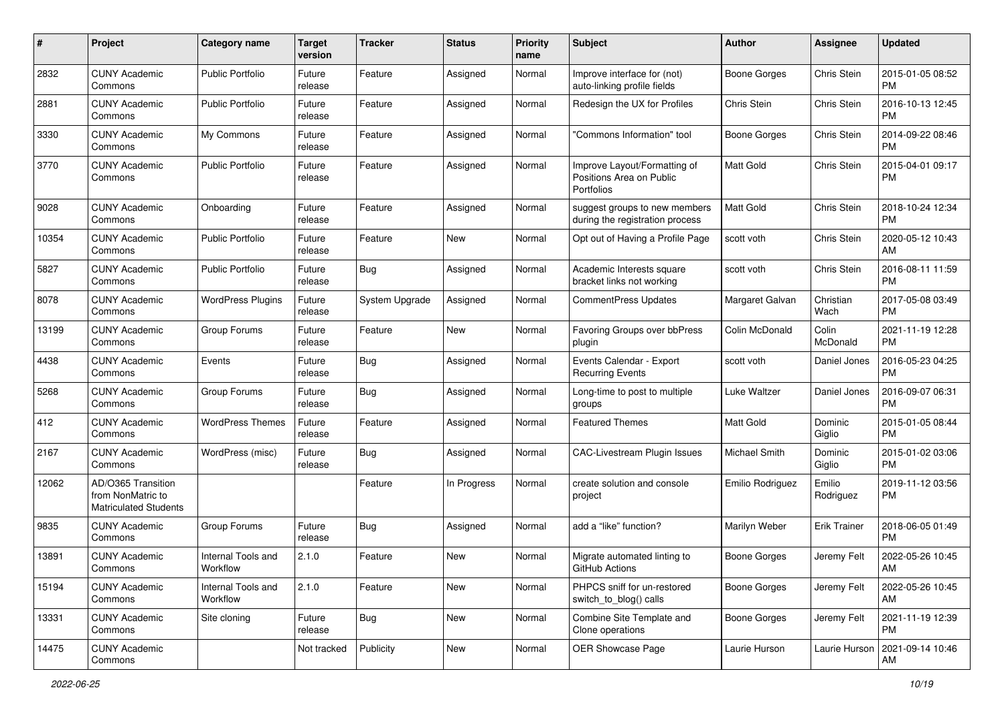| #     | Project                                                                 | <b>Category name</b>           | <b>Target</b><br>version | <b>Tracker</b> | <b>Status</b> | <b>Priority</b><br>name | <b>Subject</b>                                                         | Author              | Assignee            | <b>Updated</b>                |
|-------|-------------------------------------------------------------------------|--------------------------------|--------------------------|----------------|---------------|-------------------------|------------------------------------------------------------------------|---------------------|---------------------|-------------------------------|
| 2832  | <b>CUNY Academic</b><br>Commons                                         | <b>Public Portfolio</b>        | Future<br>release        | Feature        | Assigned      | Normal                  | Improve interface for (not)<br>auto-linking profile fields             | Boone Gorges        | Chris Stein         | 2015-01-05 08:52<br><b>PM</b> |
| 2881  | <b>CUNY Academic</b><br>Commons                                         | <b>Public Portfolio</b>        | Future<br>release        | Feature        | Assigned      | Normal                  | Redesign the UX for Profiles                                           | Chris Stein         | Chris Stein         | 2016-10-13 12:45<br><b>PM</b> |
| 3330  | <b>CUNY Academic</b><br>Commons                                         | My Commons                     | Future<br>release        | Feature        | Assigned      | Normal                  | 'Commons Information" tool                                             | <b>Boone Gorges</b> | Chris Stein         | 2014-09-22 08:46<br><b>PM</b> |
| 3770  | <b>CUNY Academic</b><br>Commons                                         | <b>Public Portfolio</b>        | Future<br>release        | Feature        | Assigned      | Normal                  | Improve Layout/Formatting of<br>Positions Area on Public<br>Portfolios | Matt Gold           | Chris Stein         | 2015-04-01 09:17<br>PM        |
| 9028  | <b>CUNY Academic</b><br>Commons                                         | Onboarding                     | Future<br>release        | Feature        | Assigned      | Normal                  | suggest groups to new members<br>during the registration process       | Matt Gold           | Chris Stein         | 2018-10-24 12:34<br><b>PM</b> |
| 10354 | <b>CUNY Academic</b><br>Commons                                         | <b>Public Portfolio</b>        | Future<br>release        | Feature        | New           | Normal                  | Opt out of Having a Profile Page                                       | scott voth          | Chris Stein         | 2020-05-12 10:43<br>AM        |
| 5827  | <b>CUNY Academic</b><br>Commons                                         | <b>Public Portfolio</b>        | Future<br>release        | Bug            | Assigned      | Normal                  | Academic Interests square<br>bracket links not working                 | scott voth          | Chris Stein         | 2016-08-11 11:59<br><b>PM</b> |
| 8078  | <b>CUNY Academic</b><br>Commons                                         | <b>WordPress Plugins</b>       | Future<br>release        | System Upgrade | Assigned      | Normal                  | <b>CommentPress Updates</b>                                            | Margaret Galvan     | Christian<br>Wach   | 2017-05-08 03:49<br><b>PM</b> |
| 13199 | <b>CUNY Academic</b><br>Commons                                         | Group Forums                   | Future<br>release        | Feature        | <b>New</b>    | Normal                  | Favoring Groups over bbPress<br>plugin                                 | Colin McDonald      | Colin<br>McDonald   | 2021-11-19 12:28<br>РM        |
| 4438  | <b>CUNY Academic</b><br>Commons                                         | Events                         | Future<br>release        | <b>Bug</b>     | Assigned      | Normal                  | Events Calendar - Export<br><b>Recurring Events</b>                    | scott voth          | Daniel Jones        | 2016-05-23 04:25<br><b>PM</b> |
| 5268  | <b>CUNY Academic</b><br>Commons                                         | Group Forums                   | Future<br>release        | Bug            | Assigned      | Normal                  | Long-time to post to multiple<br>groups                                | Luke Waltzer        | Daniel Jones        | 2016-09-07 06:31<br><b>PM</b> |
| 412   | <b>CUNY Academic</b><br>Commons                                         | <b>WordPress Themes</b>        | Future<br>release        | Feature        | Assigned      | Normal                  | <b>Featured Themes</b>                                                 | <b>Matt Gold</b>    | Dominic<br>Giglio   | 2015-01-05 08:44<br><b>PM</b> |
| 2167  | <b>CUNY Academic</b><br>Commons                                         | WordPress (misc)               | Future<br>release        | <b>Bug</b>     | Assigned      | Normal                  | <b>CAC-Livestream Plugin Issues</b>                                    | Michael Smith       | Dominic<br>Giglio   | 2015-01-02 03:06<br><b>PM</b> |
| 12062 | AD/O365 Transition<br>from NonMatric to<br><b>Matriculated Students</b> |                                |                          | Feature        | In Progress   | Normal                  | create solution and console<br>project                                 | Emilio Rodriguez    | Emilio<br>Rodriguez | 2019-11-12 03:56<br><b>PM</b> |
| 9835  | <b>CUNY Academic</b><br>Commons                                         | Group Forums                   | Future<br>release        | Bug            | Assigned      | Normal                  | add a "like" function?                                                 | Marilyn Weber       | <b>Erik Trainer</b> | 2018-06-05 01:49<br><b>PM</b> |
| 13891 | <b>CUNY Academic</b><br>Commons                                         | Internal Tools and<br>Workflow | 2.1.0                    | Feature        | <b>New</b>    | Normal                  | Migrate automated linting to<br>GitHub Actions                         | Boone Gorges        | Jeremy Felt         | 2022-05-26 10:45<br>AM        |
| 15194 | <b>CUNY Academic</b><br>Commons                                         | Internal Tools and<br>Workflow | 2.1.0                    | Feature        | New           | Normal                  | PHPCS sniff for un-restored<br>switch_to_blog() calls                  | <b>Boone Gorges</b> | Jeremy Felt         | 2022-05-26 10:45<br>AM        |
| 13331 | <b>CUNY Academic</b><br>Commons                                         | Site cloning                   | Future<br>release        | <b>Bug</b>     | New           | Normal                  | Combine Site Template and<br>Clone operations                          | Boone Gorges        | Jeremy Felt         | 2021-11-19 12:39<br>PM        |
| 14475 | <b>CUNY Academic</b><br>Commons                                         |                                | Not tracked              | Publicity      | New           | Normal                  | OER Showcase Page                                                      | Laurie Hurson       | Laurie Hurson       | 2021-09-14 10:46<br>AM        |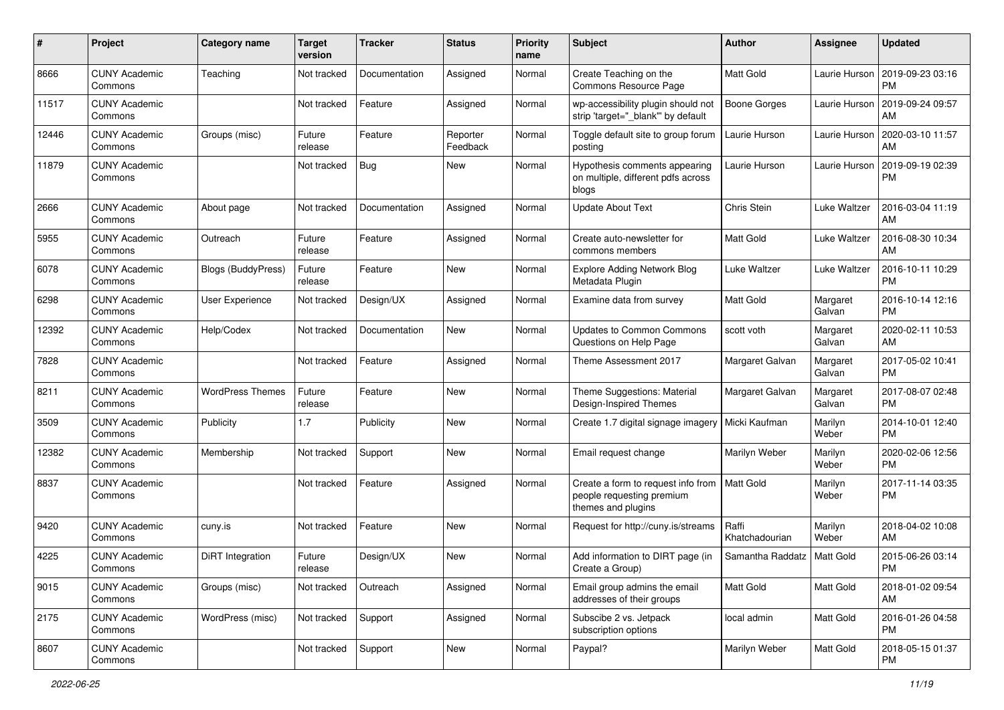| #     | Project                         | <b>Category name</b>      | <b>Target</b><br>version | <b>Tracker</b> | <b>Status</b>        | <b>Priority</b><br>name | Subject                                                                               | Author                  | Assignee           | <b>Updated</b>                |
|-------|---------------------------------|---------------------------|--------------------------|----------------|----------------------|-------------------------|---------------------------------------------------------------------------------------|-------------------------|--------------------|-------------------------------|
| 8666  | <b>CUNY Academic</b><br>Commons | Teaching                  | Not tracked              | Documentation  | Assigned             | Normal                  | Create Teaching on the<br>Commons Resource Page                                       | Matt Gold               | Laurie Hurson      | 2019-09-23 03:16<br>PM        |
| 11517 | <b>CUNY Academic</b><br>Commons |                           | Not tracked              | Feature        | Assigned             | Normal                  | wp-accessibility plugin should not<br>strip 'target="_blank"' by default              | <b>Boone Gorges</b>     | Laurie Hurson      | 2019-09-24 09:57<br>AM        |
| 12446 | <b>CUNY Academic</b><br>Commons | Groups (misc)             | Future<br>release        | Feature        | Reporter<br>Feedback | Normal                  | Toggle default site to group forum<br>posting                                         | Laurie Hurson           | Laurie Hurson      | 2020-03-10 11:57<br>AM        |
| 11879 | <b>CUNY Academic</b><br>Commons |                           | Not tracked              | Bug            | New                  | Normal                  | Hypothesis comments appearing<br>on multiple, different pdfs across<br>blogs          | Laurie Hurson           | Laurie Hurson      | 2019-09-19 02:39<br>PM        |
| 2666  | <b>CUNY Academic</b><br>Commons | About page                | Not tracked              | Documentation  | Assigned             | Normal                  | <b>Update About Text</b>                                                              | Chris Stein             | Luke Waltzer       | 2016-03-04 11:19<br>AM        |
| 5955  | <b>CUNY Academic</b><br>Commons | Outreach                  | Future<br>release        | Feature        | Assigned             | Normal                  | Create auto-newsletter for<br>commons members                                         | <b>Matt Gold</b>        | Luke Waltzer       | 2016-08-30 10:34<br>AM        |
| 6078  | <b>CUNY Academic</b><br>Commons | <b>Blogs (BuddyPress)</b> | Future<br>release        | Feature        | New                  | Normal                  | <b>Explore Adding Network Blog</b><br>Metadata Plugin                                 | Luke Waltzer            | Luke Waltzer       | 2016-10-11 10:29<br><b>PM</b> |
| 6298  | <b>CUNY Academic</b><br>Commons | User Experience           | Not tracked              | Design/UX      | Assigned             | Normal                  | Examine data from survey                                                              | Matt Gold               | Margaret<br>Galvan | 2016-10-14 12:16<br><b>PM</b> |
| 12392 | <b>CUNY Academic</b><br>Commons | Help/Codex                | Not tracked              | Documentation  | <b>New</b>           | Normal                  | <b>Updates to Common Commons</b><br>Questions on Help Page                            | scott voth              | Margaret<br>Galvan | 2020-02-11 10:53<br>AM        |
| 7828  | <b>CUNY Academic</b><br>Commons |                           | Not tracked              | Feature        | Assigned             | Normal                  | Theme Assessment 2017                                                                 | Margaret Galvan         | Margaret<br>Galvan | 2017-05-02 10:41<br><b>PM</b> |
| 8211  | <b>CUNY Academic</b><br>Commons | <b>WordPress Themes</b>   | Future<br>release        | Feature        | <b>New</b>           | Normal                  | Theme Suggestions: Material<br>Design-Inspired Themes                                 | Margaret Galvan         | Margaret<br>Galvan | 2017-08-07 02:48<br><b>PM</b> |
| 3509  | <b>CUNY Academic</b><br>Commons | Publicity                 | 1.7                      | Publicity      | New                  | Normal                  | Create 1.7 digital signage imagery                                                    | Micki Kaufman           | Marilyn<br>Weber   | 2014-10-01 12:40<br><b>PM</b> |
| 12382 | <b>CUNY Academic</b><br>Commons | Membership                | Not tracked              | Support        | New                  | Normal                  | Email request change                                                                  | Marilyn Weber           | Marilyn<br>Weber   | 2020-02-06 12:56<br><b>PM</b> |
| 8837  | <b>CUNY Academic</b><br>Commons |                           | Not tracked              | Feature        | Assigned             | Normal                  | Create a form to request info from<br>people requesting premium<br>themes and plugins | <b>Matt Gold</b>        | Marilyn<br>Weber   | 2017-11-14 03:35<br><b>PM</b> |
| 9420  | <b>CUNY Academic</b><br>Commons | cuny.is                   | Not tracked              | Feature        | <b>New</b>           | Normal                  | Request for http://cuny.is/streams                                                    | Raffi<br>Khatchadourian | Marilyn<br>Weber   | 2018-04-02 10:08<br>AM        |
| 4225  | <b>CUNY Academic</b><br>Commons | DiRT Integration          | Future<br>release        | Design/UX      | New                  | Normal                  | Add information to DIRT page (in<br>Create a Group)                                   | Samantha Raddatz        | <b>Matt Gold</b>   | 2015-06-26 03:14<br>PM        |
| 9015  | <b>CUNY Academic</b><br>Commons | Groups (misc)             | Not tracked              | Outreach       | Assigned             | Normal                  | Email group admins the email<br>addresses of their groups                             | Matt Gold               | Matt Gold          | 2018-01-02 09:54<br>AM        |
| 2175  | <b>CUNY Academic</b><br>Commons | WordPress (misc)          | Not tracked              | Support        | Assigned             | Normal                  | Subscibe 2 vs. Jetpack<br>subscription options                                        | local admin             | Matt Gold          | 2016-01-26 04:58<br><b>PM</b> |
| 8607  | <b>CUNY Academic</b><br>Commons |                           | Not tracked              | Support        | New                  | Normal                  | Paypal?                                                                               | Marilyn Weber           | Matt Gold          | 2018-05-15 01:37<br><b>PM</b> |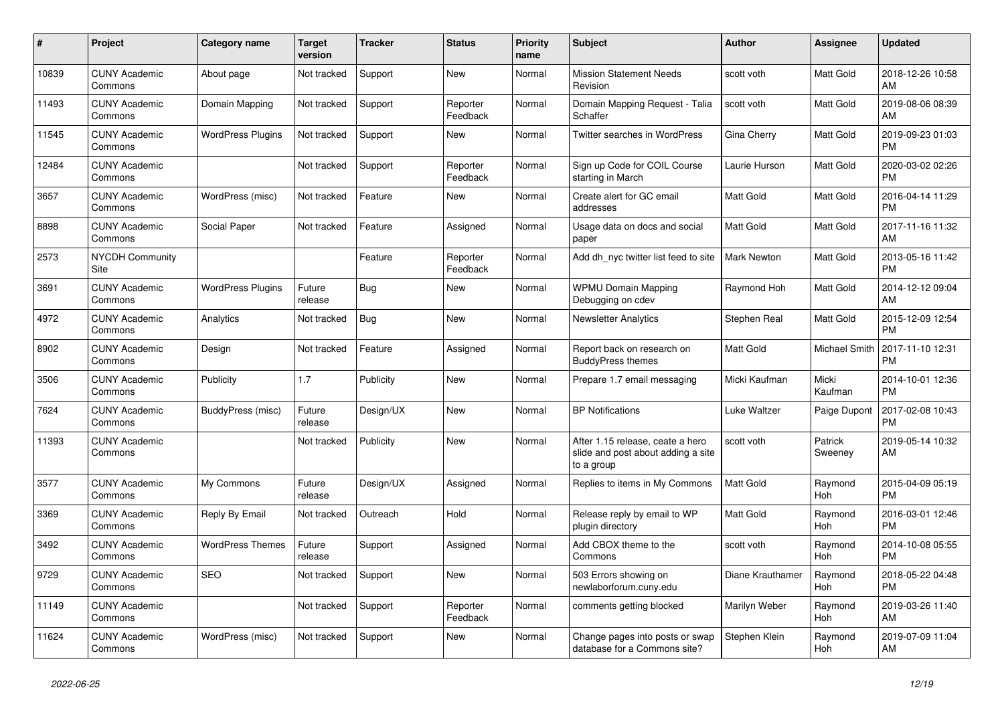| #     | <b>Project</b>                  | Category name            | <b>Target</b><br>version | <b>Tracker</b> | <b>Status</b>        | <b>Priority</b><br>name | <b>Subject</b>                                                                       | <b>Author</b>      | <b>Assignee</b>       | <b>Updated</b>                |
|-------|---------------------------------|--------------------------|--------------------------|----------------|----------------------|-------------------------|--------------------------------------------------------------------------------------|--------------------|-----------------------|-------------------------------|
| 10839 | <b>CUNY Academic</b><br>Commons | About page               | Not tracked              | Support        | <b>New</b>           | Normal                  | <b>Mission Statement Needs</b><br>Revision                                           | scott voth         | Matt Gold             | 2018-12-26 10:58<br>AM        |
| 11493 | <b>CUNY Academic</b><br>Commons | Domain Mapping           | Not tracked              | Support        | Reporter<br>Feedback | Normal                  | Domain Mapping Request - Talia<br>Schaffer                                           | scott voth         | <b>Matt Gold</b>      | 2019-08-06 08:39<br>AM        |
| 11545 | <b>CUNY Academic</b><br>Commons | WordPress Plugins        | Not tracked              | Support        | New                  | Normal                  | Twitter searches in WordPress                                                        | Gina Cherry        | Matt Gold             | 2019-09-23 01:03<br><b>PM</b> |
| 12484 | <b>CUNY Academic</b><br>Commons |                          | Not tracked              | Support        | Reporter<br>Feedback | Normal                  | Sign up Code for COIL Course<br>starting in March                                    | Laurie Hurson      | Matt Gold             | 2020-03-02 02:26<br><b>PM</b> |
| 3657  | <b>CUNY Academic</b><br>Commons | WordPress (misc)         | Not tracked              | Feature        | <b>New</b>           | Normal                  | Create alert for GC email<br>addresses                                               | <b>Matt Gold</b>   | Matt Gold             | 2016-04-14 11:29<br><b>PM</b> |
| 8898  | <b>CUNY Academic</b><br>Commons | Social Paper             | Not tracked              | Feature        | Assigned             | Normal                  | Usage data on docs and social<br>paper                                               | <b>Matt Gold</b>   | Matt Gold             | 2017-11-16 11:32<br>AM        |
| 2573  | <b>NYCDH Community</b><br>Site  |                          |                          | Feature        | Reporter<br>Feedback | Normal                  | Add dh nyc twitter list feed to site                                                 | <b>Mark Newton</b> | Matt Gold             | 2013-05-16 11:42<br><b>PM</b> |
| 3691  | <b>CUNY Academic</b><br>Commons | <b>WordPress Plugins</b> | Future<br>release        | Bug            | <b>New</b>           | Normal                  | <b>WPMU Domain Mapping</b><br>Debugging on cdev                                      | Raymond Hoh        | Matt Gold             | 2014-12-12 09:04<br>AM        |
| 4972  | <b>CUNY Academic</b><br>Commons | Analytics                | Not tracked              | <b>Bug</b>     | <b>New</b>           | Normal                  | <b>Newsletter Analytics</b>                                                          | Stephen Real       | Matt Gold             | 2015-12-09 12:54<br><b>PM</b> |
| 8902  | <b>CUNY Academic</b><br>Commons | Design                   | Not tracked              | Feature        | Assigned             | Normal                  | Report back on research on<br><b>BuddyPress themes</b>                               | <b>Matt Gold</b>   | Michael Smith         | 2017-11-10 12:31<br><b>PM</b> |
| 3506  | <b>CUNY Academic</b><br>Commons | Publicity                | 1.7                      | Publicity      | <b>New</b>           | Normal                  | Prepare 1.7 email messaging                                                          | Micki Kaufman      | Micki<br>Kaufman      | 2014-10-01 12:36<br><b>PM</b> |
| 7624  | <b>CUNY Academic</b><br>Commons | BuddyPress (misc)        | Future<br>release        | Design/UX      | New                  | Normal                  | <b>BP</b> Notifications                                                              | Luke Waltzer       | Paige Dupont          | 2017-02-08 10:43<br><b>PM</b> |
| 11393 | <b>CUNY Academic</b><br>Commons |                          | Not tracked              | Publicity      | <b>New</b>           | Normal                  | After 1.15 release, ceate a hero<br>slide and post about adding a site<br>to a group | scott voth         | Patrick<br>Sweeney    | 2019-05-14 10:32<br>AM        |
| 3577  | <b>CUNY Academic</b><br>Commons | My Commons               | Future<br>release        | Design/UX      | Assigned             | Normal                  | Replies to items in My Commons                                                       | Matt Gold          | Raymond<br>Hoh        | 2015-04-09 05:19<br><b>PM</b> |
| 3369  | <b>CUNY Academic</b><br>Commons | Reply By Email           | Not tracked              | Outreach       | Hold                 | Normal                  | Release reply by email to WP<br>plugin directory                                     | <b>Matt Gold</b>   | Raymond<br>Hoh        | 2016-03-01 12:46<br><b>PM</b> |
| 3492  | <b>CUNY Academic</b><br>Commons | <b>WordPress Themes</b>  | Future<br>release        | Support        | Assigned             | Normal                  | Add CBOX theme to the<br>Commons                                                     | scott voth         | Raymond<br><b>Hoh</b> | 2014-10-08 05:55<br><b>PM</b> |
| 9729  | <b>CUNY Academic</b><br>Commons | <b>SEO</b>               | Not tracked              | Support        | <b>New</b>           | Normal                  | 503 Errors showing on<br>newlaborforum.cuny.edu                                      | Diane Krauthamer   | Raymond<br>Hoh        | 2018-05-22 04:48<br><b>PM</b> |
| 11149 | <b>CUNY Academic</b><br>Commons |                          | Not tracked              | Support        | Reporter<br>Feedback | Normal                  | comments getting blocked                                                             | Marilyn Weber      | Raymond<br>Hoh        | 2019-03-26 11:40<br>AM        |
| 11624 | <b>CUNY Academic</b><br>Commons | WordPress (misc)         | Not tracked              | Support        | <b>New</b>           | Normal                  | Change pages into posts or swap<br>database for a Commons site?                      | Stephen Klein      | Raymond<br>Hoh        | 2019-07-09 11:04<br>AM        |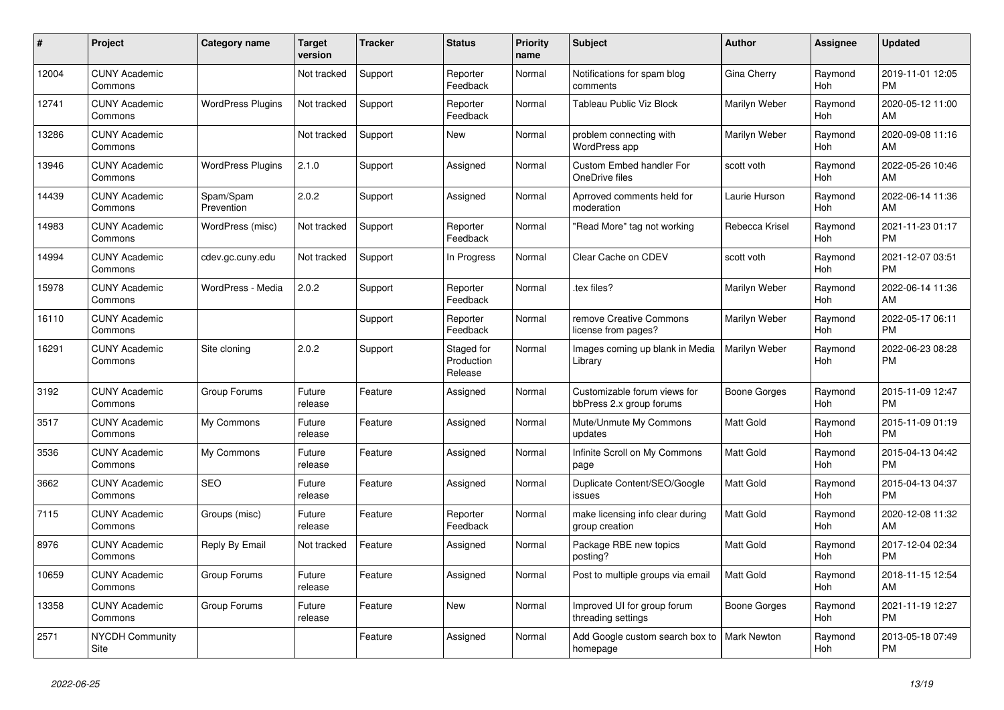| #     | Project                         | <b>Category name</b>     | Target<br>version | <b>Tracker</b> | <b>Status</b>                       | <b>Priority</b><br>name | <b>Subject</b>                                           | <b>Author</b>    | <b>Assignee</b>       | <b>Updated</b>                |
|-------|---------------------------------|--------------------------|-------------------|----------------|-------------------------------------|-------------------------|----------------------------------------------------------|------------------|-----------------------|-------------------------------|
| 12004 | <b>CUNY Academic</b><br>Commons |                          | Not tracked       | Support        | Reporter<br>Feedback                | Normal                  | Notifications for spam blog<br>comments                  | Gina Cherry      | Raymond<br>Hoh        | 2019-11-01 12:05<br><b>PM</b> |
| 12741 | <b>CUNY Academic</b><br>Commons | <b>WordPress Plugins</b> | Not tracked       | Support        | Reporter<br>Feedback                | Normal                  | <b>Tableau Public Viz Block</b>                          | Marilyn Weber    | Raymond<br>Hoh        | 2020-05-12 11:00<br>AM        |
| 13286 | <b>CUNY Academic</b><br>Commons |                          | Not tracked       | Support        | <b>New</b>                          | Normal                  | problem connecting with<br><b>WordPress app</b>          | Marilyn Weber    | Raymond<br><b>Hoh</b> | 2020-09-08 11:16<br>AM        |
| 13946 | <b>CUNY Academic</b><br>Commons | <b>WordPress Plugins</b> | 2.1.0             | Support        | Assigned                            | Normal                  | <b>Custom Embed handler For</b><br>OneDrive files        | scott voth       | Raymond<br>Hoh        | 2022-05-26 10:46<br>AM        |
| 14439 | <b>CUNY Academic</b><br>Commons | Spam/Spam<br>Prevention  | 2.0.2             | Support        | Assigned                            | Normal                  | Aprroved comments held for<br>moderation                 | Laurie Hurson    | Raymond<br>Hoh        | 2022-06-14 11:36<br>AM        |
| 14983 | <b>CUNY Academic</b><br>Commons | WordPress (misc)         | Not tracked       | Support        | Reporter<br>Feedback                | Normal                  | "Read More" tag not working                              | Rebecca Krisel   | Raymond<br><b>Hoh</b> | 2021-11-23 01:17<br><b>PM</b> |
| 14994 | <b>CUNY Academic</b><br>Commons | cdev.gc.cuny.edu         | Not tracked       | Support        | In Progress                         | Normal                  | Clear Cache on CDEV                                      | scott voth       | Raymond<br>Hoh        | 2021-12-07 03:51<br><b>PM</b> |
| 15978 | <b>CUNY Academic</b><br>Commons | WordPress - Media        | 2.0.2             | Support        | Reporter<br>Feedback                | Normal                  | tex files?                                               | Marilyn Weber    | Raymond<br>Hoh        | 2022-06-14 11:36<br>AM        |
| 16110 | <b>CUNY Academic</b><br>Commons |                          |                   | Support        | Reporter<br>Feedback                | Normal                  | remove Creative Commons<br>license from pages?           | Marilyn Weber    | Raymond<br>Hoh        | 2022-05-17 06:11<br><b>PM</b> |
| 16291 | <b>CUNY Academic</b><br>Commons | Site cloning             | 2.0.2             | Support        | Staged for<br>Production<br>Release | Normal                  | Images coming up blank in Media<br>Library               | Marilyn Weber    | Raymond<br><b>Hoh</b> | 2022-06-23 08:28<br><b>PM</b> |
| 3192  | <b>CUNY Academic</b><br>Commons | Group Forums             | Future<br>release | Feature        | Assigned                            | Normal                  | Customizable forum views for<br>bbPress 2.x group forums | Boone Gorges     | Raymond<br>Hoh        | 2015-11-09 12:47<br><b>PM</b> |
| 3517  | <b>CUNY Academic</b><br>Commons | My Commons               | Future<br>release | Feature        | Assigned                            | Normal                  | Mute/Unmute My Commons<br>updates                        | <b>Matt Gold</b> | Raymond<br>Hoh        | 2015-11-09 01:19<br><b>PM</b> |
| 3536  | <b>CUNY Academic</b><br>Commons | My Commons               | Future<br>release | Feature        | Assigned                            | Normal                  | Infinite Scroll on My Commons<br>page                    | Matt Gold        | Raymond<br>Hoh        | 2015-04-13 04:42<br><b>PM</b> |
| 3662  | <b>CUNY Academic</b><br>Commons | <b>SEO</b>               | Future<br>release | Feature        | Assigned                            | Normal                  | Duplicate Content/SEO/Google<br>issues                   | Matt Gold        | Raymond<br>Hoh        | 2015-04-13 04:37<br><b>PM</b> |
| 7115  | <b>CUNY Academic</b><br>Commons | Groups (misc)            | Future<br>release | Feature        | Reporter<br>Feedback                | Normal                  | make licensing info clear during<br>group creation       | <b>Matt Gold</b> | Raymond<br>Hoh        | 2020-12-08 11:32<br>AM        |
| 8976  | <b>CUNY Academic</b><br>Commons | Reply By Email           | Not tracked       | Feature        | Assigned                            | Normal                  | Package RBE new topics<br>posting?                       | Matt Gold        | Raymond<br><b>Hoh</b> | 2017-12-04 02:34<br><b>PM</b> |
| 10659 | <b>CUNY Academic</b><br>Commons | Group Forums             | Future<br>release | Feature        | Assigned                            | Normal                  | Post to multiple groups via email                        | Matt Gold        | Raymond<br><b>Hoh</b> | 2018-11-15 12:54<br>AM        |
| 13358 | <b>CUNY Academic</b><br>Commons | Group Forums             | Future<br>release | Feature        | <b>New</b>                          | Normal                  | Improved UI for group forum<br>threading settings        | Boone Gorges     | Raymond<br>Hoh        | 2021-11-19 12:27<br><b>PM</b> |
| 2571  | <b>NYCDH Community</b><br>Site  |                          |                   | Feature        | Assigned                            | Normal                  | Add Google custom search box to<br>homepage              | Mark Newton      | Raymond<br>Hoh        | 2013-05-18 07:49<br><b>PM</b> |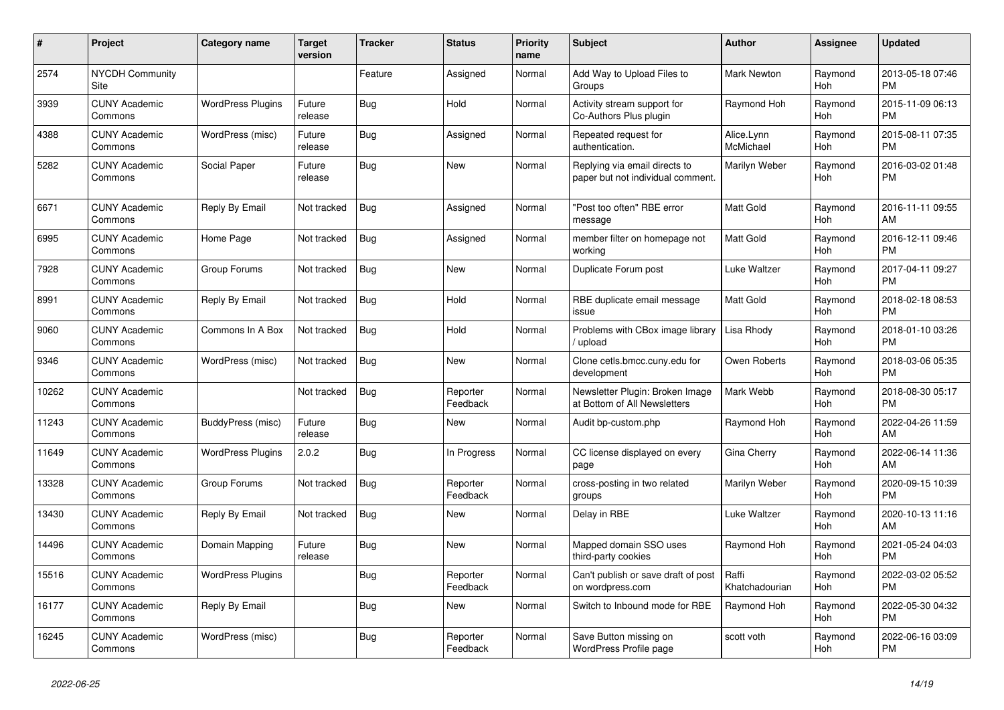| $\pmb{\sharp}$ | Project                         | <b>Category name</b>     | <b>Target</b><br>version | <b>Tracker</b> | <b>Status</b>        | <b>Priority</b><br>name | <b>Subject</b>                                                     | <b>Author</b>           | Assignee              | <b>Updated</b>                |
|----------------|---------------------------------|--------------------------|--------------------------|----------------|----------------------|-------------------------|--------------------------------------------------------------------|-------------------------|-----------------------|-------------------------------|
| 2574           | <b>NYCDH Community</b><br>Site  |                          |                          | Feature        | Assigned             | Normal                  | Add Way to Upload Files to<br>Groups                               | Mark Newton             | Raymond<br>Hoh        | 2013-05-18 07:46<br><b>PM</b> |
| 3939           | <b>CUNY Academic</b><br>Commons | <b>WordPress Plugins</b> | Future<br>release        | <b>Bug</b>     | Hold                 | Normal                  | Activity stream support for<br>Co-Authors Plus plugin              | Raymond Hoh             | Raymond<br>Hoh        | 2015-11-09 06:13<br><b>PM</b> |
| 4388           | <b>CUNY Academic</b><br>Commons | WordPress (misc)         | Future<br>release        | Bug            | Assigned             | Normal                  | Repeated request for<br>authentication.                            | Alice.Lynn<br>McMichael | Raymond<br>Hoh        | 2015-08-11 07:35<br><b>PM</b> |
| 5282           | <b>CUNY Academic</b><br>Commons | Social Paper             | Future<br>release        | Bug            | <b>New</b>           | Normal                  | Replying via email directs to<br>paper but not individual comment. | Marilyn Weber           | Raymond<br><b>Hoh</b> | 2016-03-02 01:48<br><b>PM</b> |
| 6671           | <b>CUNY Academic</b><br>Commons | Reply By Email           | Not tracked              | Bug            | Assigned             | Normal                  | "Post too often" RBE error<br>message                              | <b>Matt Gold</b>        | Raymond<br>Hoh        | 2016-11-11 09:55<br>AM        |
| 6995           | <b>CUNY Academic</b><br>Commons | Home Page                | Not tracked              | Bug            | Assigned             | Normal                  | member filter on homepage not<br>working                           | Matt Gold               | Raymond<br><b>Hoh</b> | 2016-12-11 09:46<br><b>PM</b> |
| 7928           | <b>CUNY Academic</b><br>Commons | Group Forums             | Not tracked              | <b>Bug</b>     | New                  | Normal                  | Duplicate Forum post                                               | Luke Waltzer            | Raymond<br><b>Hoh</b> | 2017-04-11 09:27<br><b>PM</b> |
| 8991           | <b>CUNY Academic</b><br>Commons | Reply By Email           | Not tracked              | Bug            | Hold                 | Normal                  | RBE duplicate email message<br>issue                               | <b>Matt Gold</b>        | Raymond<br>Hoh        | 2018-02-18 08:53<br><b>PM</b> |
| 9060           | <b>CUNY Academic</b><br>Commons | Commons In A Box         | Not tracked              | <b>Bug</b>     | Hold                 | Normal                  | Problems with CBox image library<br>upload                         | Lisa Rhody              | Raymond<br>Hoh        | 2018-01-10 03:26<br><b>PM</b> |
| 9346           | <b>CUNY Academic</b><br>Commons | WordPress (misc)         | Not tracked              | <b>Bug</b>     | <b>New</b>           | Normal                  | Clone cetls.bmcc.cuny.edu for<br>development                       | Owen Roberts            | Raymond<br><b>Hoh</b> | 2018-03-06 05:35<br><b>PM</b> |
| 10262          | <b>CUNY Academic</b><br>Commons |                          | Not tracked              | Bug            | Reporter<br>Feedback | Normal                  | Newsletter Plugin: Broken Image<br>at Bottom of All Newsletters    | Mark Webb               | Raymond<br>Hoh        | 2018-08-30 05:17<br><b>PM</b> |
| 11243          | <b>CUNY Academic</b><br>Commons | BuddyPress (misc)        | Future<br>release        | Bug            | <b>New</b>           | Normal                  | Audit bp-custom.php                                                | Raymond Hoh             | Raymond<br>Hoh        | 2022-04-26 11:59<br>AM        |
| 11649          | <b>CUNY Academic</b><br>Commons | <b>WordPress Plugins</b> | 2.0.2                    | Bug            | In Progress          | Normal                  | CC license displayed on every<br>page                              | Gina Cherry             | Raymond<br>Hoh        | 2022-06-14 11:36<br>AM        |
| 13328          | <b>CUNY Academic</b><br>Commons | Group Forums             | Not tracked              | Bug            | Reporter<br>Feedback | Normal                  | cross-posting in two related<br>groups                             | Marilyn Weber           | Raymond<br>Hoh        | 2020-09-15 10:39<br><b>PM</b> |
| 13430          | <b>CUNY Academic</b><br>Commons | Reply By Email           | Not tracked              | <b>Bug</b>     | New                  | Normal                  | Delay in RBE                                                       | Luke Waltzer            | Raymond<br>Hoh        | 2020-10-13 11:16<br>AM        |
| 14496          | <b>CUNY Academic</b><br>Commons | Domain Mapping           | Future<br>release        | <b>Bug</b>     | <b>New</b>           | Normal                  | Mapped domain SSO uses<br>third-party cookies                      | Raymond Hoh             | Raymond<br><b>Hoh</b> | 2021-05-24 04:03<br><b>PM</b> |
| 15516          | <b>CUNY Academic</b><br>Commons | <b>WordPress Plugins</b> |                          | Bug            | Reporter<br>Feedback | Normal                  | Can't publish or save draft of post<br>on wordpress.com            | Raffi<br>Khatchadourian | Raymond<br><b>Hoh</b> | 2022-03-02 05:52<br><b>PM</b> |
| 16177          | <b>CUNY Academic</b><br>Commons | Reply By Email           |                          | Bug            | <b>New</b>           | Normal                  | Switch to Inbound mode for RBE                                     | Raymond Hoh             | Raymond<br>Hoh        | 2022-05-30 04:32<br><b>PM</b> |
| 16245          | <b>CUNY Academic</b><br>Commons | WordPress (misc)         |                          | Bug            | Reporter<br>Feedback | Normal                  | Save Button missing on<br>WordPress Profile page                   | scott voth              | Raymond<br>Hoh        | 2022-06-16 03:09<br><b>PM</b> |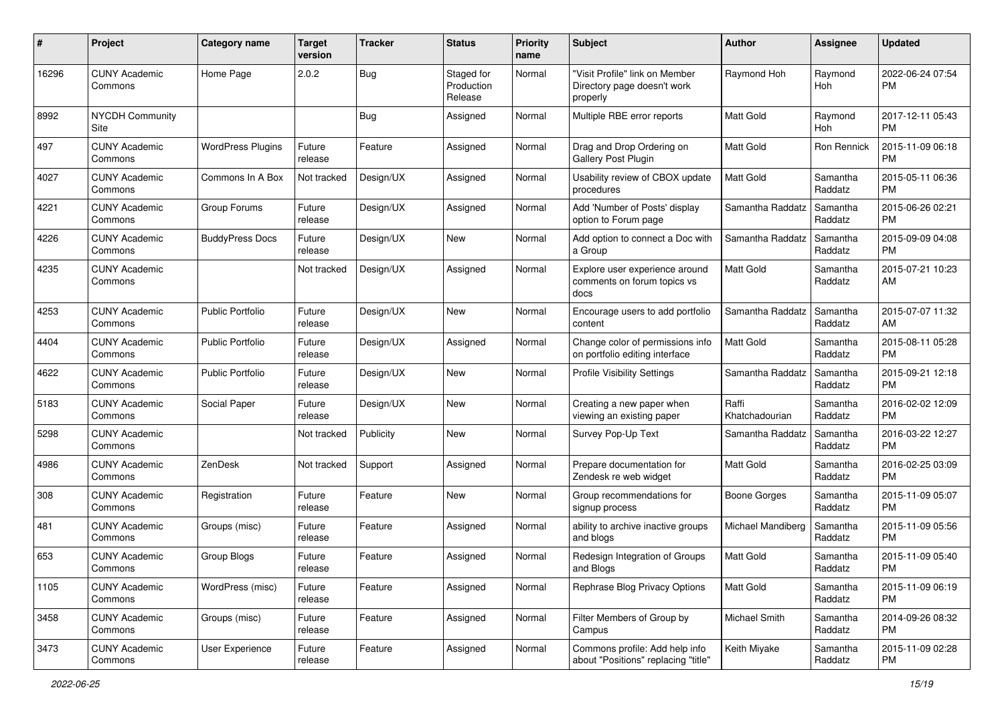| #     | Project                         | <b>Category name</b>     | <b>Target</b><br>version | <b>Tracker</b> | <b>Status</b>                       | <b>Priority</b><br>name | Subject                                                                   | Author                  | Assignee            | <b>Updated</b>                |
|-------|---------------------------------|--------------------------|--------------------------|----------------|-------------------------------------|-------------------------|---------------------------------------------------------------------------|-------------------------|---------------------|-------------------------------|
| 16296 | <b>CUNY Academic</b><br>Commons | Home Page                | 2.0.2                    | Bug            | Staged for<br>Production<br>Release | Normal                  | "Visit Profile" link on Member<br>Directory page doesn't work<br>properly | Raymond Hoh             | Raymond<br>Hoh      | 2022-06-24 07:54<br><b>PM</b> |
| 8992  | <b>NYCDH Community</b><br>Site  |                          |                          | Bug            | Assigned                            | Normal                  | Multiple RBE error reports                                                | <b>Matt Gold</b>        | Raymond<br>Hoh      | 2017-12-11 05:43<br><b>PM</b> |
| 497   | <b>CUNY Academic</b><br>Commons | <b>WordPress Plugins</b> | Future<br>release        | Feature        | Assigned                            | Normal                  | Drag and Drop Ordering on<br>Gallery Post Plugin                          | <b>Matt Gold</b>        | Ron Rennick         | 2015-11-09 06:18<br><b>PM</b> |
| 4027  | CUNY Academic<br>Commons        | Commons In A Box         | Not tracked              | Design/UX      | Assigned                            | Normal                  | Usability review of CBOX update<br>procedures                             | <b>Matt Gold</b>        | Samantha<br>Raddatz | 2015-05-11 06:36<br><b>PM</b> |
| 4221  | <b>CUNY Academic</b><br>Commons | Group Forums             | Future<br>release        | Design/UX      | Assigned                            | Normal                  | Add 'Number of Posts' display<br>option to Forum page                     | Samantha Raddatz        | Samantha<br>Raddatz | 2015-06-26 02:21<br><b>PM</b> |
| 4226  | CUNY Academic<br>Commons        | <b>BuddyPress Docs</b>   | Future<br>release        | Design/UX      | New                                 | Normal                  | Add option to connect a Doc with<br>a Group                               | Samantha Raddatz        | Samantha<br>Raddatz | 2015-09-09 04:08<br><b>PM</b> |
| 4235  | <b>CUNY Academic</b><br>Commons |                          | Not tracked              | Design/UX      | Assigned                            | Normal                  | Explore user experience around<br>comments on forum topics vs<br>docs     | <b>Matt Gold</b>        | Samantha<br>Raddatz | 2015-07-21 10:23<br>AM        |
| 4253  | <b>CUNY Academic</b><br>Commons | <b>Public Portfolio</b>  | Future<br>release        | Design/UX      | New                                 | Normal                  | Encourage users to add portfolio<br>content                               | Samantha Raddatz        | Samantha<br>Raddatz | 2015-07-07 11:32<br>AM        |
| 4404  | <b>CUNY Academic</b><br>Commons | <b>Public Portfolio</b>  | Future<br>release        | Design/UX      | Assigned                            | Normal                  | Change color of permissions info<br>on portfolio editing interface        | <b>Matt Gold</b>        | Samantha<br>Raddatz | 2015-08-11 05:28<br><b>PM</b> |
| 4622  | <b>CUNY Academic</b><br>Commons | <b>Public Portfolio</b>  | Future<br>release        | Design/UX      | <b>New</b>                          | Normal                  | <b>Profile Visibility Settings</b>                                        | Samantha Raddatz        | Samantha<br>Raddatz | 2015-09-21 12:18<br><b>PM</b> |
| 5183  | <b>CUNY Academic</b><br>Commons | Social Paper             | Future<br>release        | Design/UX      | New                                 | Normal                  | Creating a new paper when<br>viewing an existing paper                    | Raffi<br>Khatchadourian | Samantha<br>Raddatz | 2016-02-02 12:09<br><b>PM</b> |
| 5298  | <b>CUNY Academic</b><br>Commons |                          | Not tracked              | Publicity      | New                                 | Normal                  | Survey Pop-Up Text                                                        | Samantha Raddatz        | Samantha<br>Raddatz | 2016-03-22 12:27<br><b>PM</b> |
| 4986  | <b>CUNY Academic</b><br>Commons | ZenDesk                  | Not tracked              | Support        | Assigned                            | Normal                  | Prepare documentation for<br>Zendesk re web widget                        | Matt Gold               | Samantha<br>Raddatz | 2016-02-25 03:09<br><b>PM</b> |
| 308   | <b>CUNY Academic</b><br>Commons | Registration             | Future<br>release        | Feature        | New                                 | Normal                  | Group recommendations for<br>signup process                               | <b>Boone Gorges</b>     | Samantha<br>Raddatz | 2015-11-09 05:07<br><b>PM</b> |
| 481   | <b>CUNY Academic</b><br>Commons | Groups (misc)            | Future<br>release        | Feature        | Assigned                            | Normal                  | ability to archive inactive groups<br>and blogs                           | Michael Mandiberg       | Samantha<br>Raddatz | 2015-11-09 05:56<br><b>PM</b> |
| 653   | CUNY Academic<br>Commons        | Group Blogs              | Future<br>release        | Feature        | Assigned                            | Normal                  | Redesign Integration of Groups<br>and Blogs                               | Matt Gold               | Samantha<br>Raddatz | 2015-11-09 05:40<br>PM        |
| 1105  | <b>CUNY Academic</b><br>Commons | WordPress (misc)         | Future<br>release        | Feature        | Assigned                            | Normal                  | Rephrase Blog Privacy Options                                             | Matt Gold               | Samantha<br>Raddatz | 2015-11-09 06:19<br><b>PM</b> |
| 3458  | <b>CUNY Academic</b><br>Commons | Groups (misc)            | Future<br>release        | Feature        | Assigned                            | Normal                  | Filter Members of Group by<br>Campus                                      | Michael Smith           | Samantha<br>Raddatz | 2014-09-26 08:32<br><b>PM</b> |
| 3473  | <b>CUNY Academic</b><br>Commons | User Experience          | Future<br>release        | Feature        | Assigned                            | Normal                  | Commons profile: Add help info<br>about "Positions" replacing "title"     | Keith Miyake            | Samantha<br>Raddatz | 2015-11-09 02:28<br>PM        |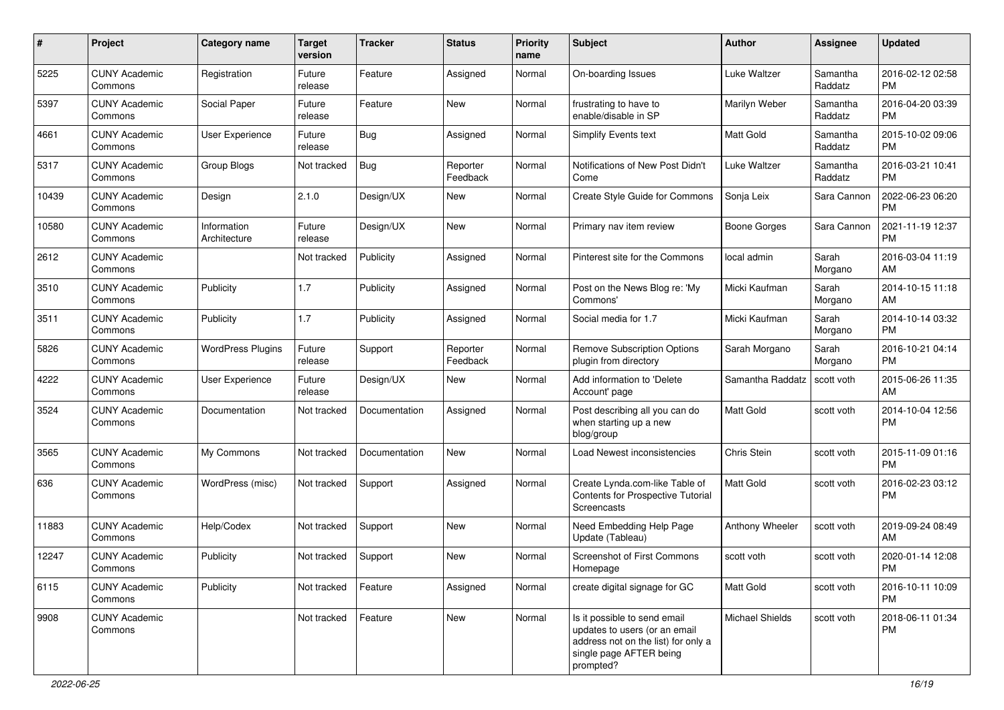| #     | Project                         | <b>Category name</b>        | <b>Target</b><br>version | <b>Tracker</b> | <b>Status</b>        | <b>Priority</b><br>name | Subject                                                                                                                                      | Author              | <b>Assignee</b>     | <b>Updated</b>                |
|-------|---------------------------------|-----------------------------|--------------------------|----------------|----------------------|-------------------------|----------------------------------------------------------------------------------------------------------------------------------------------|---------------------|---------------------|-------------------------------|
| 5225  | <b>CUNY Academic</b><br>Commons | Registration                | Future<br>release        | Feature        | Assigned             | Normal                  | On-boarding Issues                                                                                                                           | Luke Waltzer        | Samantha<br>Raddatz | 2016-02-12 02:58<br>PM        |
| 5397  | <b>CUNY Academic</b><br>Commons | Social Paper                | Future<br>release        | Feature        | New                  | Normal                  | frustrating to have to<br>enable/disable in SP                                                                                               | Marilyn Weber       | Samantha<br>Raddatz | 2016-04-20 03:39<br><b>PM</b> |
| 4661  | <b>CUNY Academic</b><br>Commons | User Experience             | Future<br>release        | <b>Bug</b>     | Assigned             | Normal                  | Simplify Events text                                                                                                                         | <b>Matt Gold</b>    | Samantha<br>Raddatz | 2015-10-02 09:06<br><b>PM</b> |
| 5317  | <b>CUNY Academic</b><br>Commons | Group Blogs                 | Not tracked              | Bug            | Reporter<br>Feedback | Normal                  | Notifications of New Post Didn't<br>Come                                                                                                     | Luke Waltzer        | Samantha<br>Raddatz | 2016-03-21 10:41<br><b>PM</b> |
| 10439 | <b>CUNY Academic</b><br>Commons | Design                      | 2.1.0                    | Design/UX      | New                  | Normal                  | Create Style Guide for Commons                                                                                                               | Sonja Leix          | Sara Cannon         | 2022-06-23 06:20<br><b>PM</b> |
| 10580 | <b>CUNY Academic</b><br>Commons | Information<br>Architecture | Future<br>release        | Design/UX      | New                  | Normal                  | Primary nav item review                                                                                                                      | <b>Boone Gorges</b> | Sara Cannon         | 2021-11-19 12:37<br><b>PM</b> |
| 2612  | <b>CUNY Academic</b><br>Commons |                             | Not tracked              | Publicity      | Assigned             | Normal                  | Pinterest site for the Commons                                                                                                               | local admin         | Sarah<br>Morgano    | 2016-03-04 11:19<br>AM        |
| 3510  | <b>CUNY Academic</b><br>Commons | Publicity                   | 1.7                      | Publicity      | Assigned             | Normal                  | Post on the News Blog re: 'My<br>Commons'                                                                                                    | Micki Kaufman       | Sarah<br>Morgano    | 2014-10-15 11:18<br>AM        |
| 3511  | <b>CUNY Academic</b><br>Commons | Publicity                   | 1.7                      | Publicity      | Assigned             | Normal                  | Social media for 1.7                                                                                                                         | Micki Kaufman       | Sarah<br>Morgano    | 2014-10-14 03:32<br><b>PM</b> |
| 5826  | <b>CUNY Academic</b><br>Commons | <b>WordPress Plugins</b>    | Future<br>release        | Support        | Reporter<br>Feedback | Normal                  | <b>Remove Subscription Options</b><br>plugin from directory                                                                                  | Sarah Morgano       | Sarah<br>Morgano    | 2016-10-21 04:14<br><b>PM</b> |
| 4222  | <b>CUNY Academic</b><br>Commons | User Experience             | Future<br>release        | Design/UX      | New                  | Normal                  | Add information to 'Delete<br>Account' page                                                                                                  | Samantha Raddatz    | scott voth          | 2015-06-26 11:35<br>AM        |
| 3524  | <b>CUNY Academic</b><br>Commons | Documentation               | Not tracked              | Documentation  | Assigned             | Normal                  | Post describing all you can do<br>when starting up a new<br>blog/group                                                                       | Matt Gold           | scott voth          | 2014-10-04 12:56<br><b>PM</b> |
| 3565  | <b>CUNY Academic</b><br>Commons | My Commons                  | Not tracked              | Documentation  | New                  | Normal                  | Load Newest inconsistencies                                                                                                                  | Chris Stein         | scott voth          | 2015-11-09 01:16<br><b>PM</b> |
| 636   | <b>CUNY Academic</b><br>Commons | WordPress (misc)            | Not tracked              | Support        | Assigned             | Normal                  | Create Lynda.com-like Table of<br>Contents for Prospective Tutorial<br>Screencasts                                                           | <b>Matt Gold</b>    | scott voth          | 2016-02-23 03:12<br><b>PM</b> |
| 11883 | <b>CUNY Academic</b><br>Commons | Help/Codex                  | Not tracked              | Support        | New                  | Normal                  | Need Embedding Help Page<br>Update (Tableau)                                                                                                 | Anthony Wheeler     | scott voth          | 2019-09-24 08:49<br>AM        |
| 12247 | <b>CUNY Academic</b><br>Commons | Publicity                   | Not tracked              | Support        | New                  | Normal                  | Screenshot of First Commons<br>Homepage                                                                                                      | scott voth          | scott voth          | 2020-01-14 12:08<br>PM        |
| 6115  | <b>CUNY Academic</b><br>Commons | Publicity                   | Not tracked              | Feature        | Assigned             | Normal                  | create digital signage for GC                                                                                                                | Matt Gold           | scott voth          | 2016-10-11 10:09<br><b>PM</b> |
| 9908  | <b>CUNY Academic</b><br>Commons |                             | Not tracked              | Feature        | New                  | Normal                  | Is it possible to send email<br>updates to users (or an email<br>address not on the list) for only a<br>single page AFTER being<br>prompted? | Michael Shields     | scott voth          | 2018-06-11 01:34<br><b>PM</b> |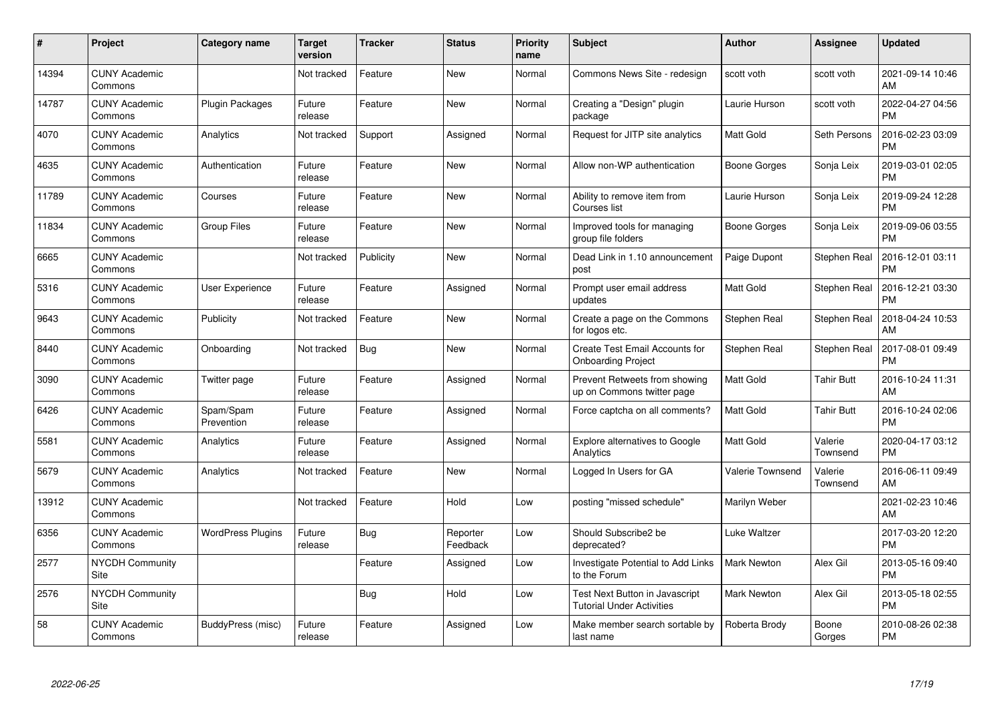| #     | Project                         | <b>Category name</b>     | Target<br>version | <b>Tracker</b> | <b>Status</b>        | <b>Priority</b><br>name | <b>Subject</b>                                                     | <b>Author</b>      | <b>Assignee</b>     | <b>Updated</b>                |
|-------|---------------------------------|--------------------------|-------------------|----------------|----------------------|-------------------------|--------------------------------------------------------------------|--------------------|---------------------|-------------------------------|
| 14394 | <b>CUNY Academic</b><br>Commons |                          | Not tracked       | Feature        | <b>New</b>           | Normal                  | Commons News Site - redesign                                       | scott voth         | scott voth          | 2021-09-14 10:46<br>AM        |
| 14787 | <b>CUNY Academic</b><br>Commons | Plugin Packages          | Future<br>release | Feature        | <b>New</b>           | Normal                  | Creating a "Design" plugin<br>package                              | Laurie Hurson      | scott voth          | 2022-04-27 04:56<br><b>PM</b> |
| 4070  | <b>CUNY Academic</b><br>Commons | Analytics                | Not tracked       | Support        | Assigned             | Normal                  | Request for JITP site analytics                                    | Matt Gold          | Seth Persons        | 2016-02-23 03:09<br><b>PM</b> |
| 4635  | <b>CUNY Academic</b><br>Commons | Authentication           | Future<br>release | Feature        | <b>New</b>           | Normal                  | Allow non-WP authentication                                        | Boone Gorges       | Sonja Leix          | 2019-03-01 02:05<br><b>PM</b> |
| 11789 | <b>CUNY Academic</b><br>Commons | Courses                  | Future<br>release | Feature        | <b>New</b>           | Normal                  | Ability to remove item from<br>Courses list                        | Laurie Hurson      | Sonja Leix          | 2019-09-24 12:28<br><b>PM</b> |
| 11834 | <b>CUNY Academic</b><br>Commons | <b>Group Files</b>       | Future<br>release | Feature        | New                  | Normal                  | Improved tools for managing<br>group file folders                  | Boone Gorges       | Sonja Leix          | 2019-09-06 03:55<br><b>PM</b> |
| 6665  | <b>CUNY Academic</b><br>Commons |                          | Not tracked       | Publicity      | <b>New</b>           | Normal                  | Dead Link in 1.10 announcement<br>post                             | Paige Dupont       | Stephen Real        | 2016-12-01 03:11<br><b>PM</b> |
| 5316  | <b>CUNY Academic</b><br>Commons | <b>User Experience</b>   | Future<br>release | Feature        | Assigned             | Normal                  | Prompt user email address<br>updates                               | Matt Gold          | <b>Stephen Real</b> | 2016-12-21 03:30<br><b>PM</b> |
| 9643  | <b>CUNY Academic</b><br>Commons | Publicity                | Not tracked       | Feature        | <b>New</b>           | Normal                  | Create a page on the Commons<br>for logos etc.                     | Stephen Real       | Stephen Real        | 2018-04-24 10:53<br>AM        |
| 8440  | <b>CUNY Academic</b><br>Commons | Onboarding               | Not tracked       | Bug            | <b>New</b>           | Normal                  | Create Test Email Accounts for<br><b>Onboarding Project</b>        | Stephen Real       | <b>Stephen Real</b> | 2017-08-01 09:49<br><b>PM</b> |
| 3090  | <b>CUNY Academic</b><br>Commons | Twitter page             | Future<br>release | Feature        | Assigned             | Normal                  | Prevent Retweets from showing<br>up on Commons twitter page        | Matt Gold          | <b>Tahir Butt</b>   | 2016-10-24 11:31<br>AM        |
| 6426  | <b>CUNY Academic</b><br>Commons | Spam/Spam<br>Prevention  | Future<br>release | Feature        | Assigned             | Normal                  | Force captcha on all comments?                                     | Matt Gold          | <b>Tahir Butt</b>   | 2016-10-24 02:06<br><b>PM</b> |
| 5581  | <b>CUNY Academic</b><br>Commons | Analytics                | Future<br>release | Feature        | Assigned             | Normal                  | Explore alternatives to Google<br>Analytics                        | <b>Matt Gold</b>   | Valerie<br>Townsend | 2020-04-17 03:12<br><b>PM</b> |
| 5679  | <b>CUNY Academic</b><br>Commons | Analytics                | Not tracked       | Feature        | New                  | Normal                  | Logged In Users for GA                                             | Valerie Townsend   | Valerie<br>Townsend | 2016-06-11 09:49<br>AM        |
| 13912 | <b>CUNY Academic</b><br>Commons |                          | Not tracked       | Feature        | Hold                 | Low                     | posting "missed schedule"                                          | Marilyn Weber      |                     | 2021-02-23 10:46<br>AM        |
| 6356  | <b>CUNY Academic</b><br>Commons | <b>WordPress Plugins</b> | Future<br>release | Bug            | Reporter<br>Feedback | Low                     | Should Subscribe2 be<br>deprecated?                                | Luke Waltzer       |                     | 2017-03-20 12:20<br><b>PM</b> |
| 2577  | <b>NYCDH Community</b><br>Site  |                          |                   | Feature        | Assigned             | Low                     | Investigate Potential to Add Links<br>to the Forum                 | <b>Mark Newton</b> | Alex Gil            | 2013-05-16 09:40<br><b>PM</b> |
| 2576  | <b>NYCDH Community</b><br>Site  |                          |                   | Bug            | Hold                 | Low                     | Test Next Button in Javascript<br><b>Tutorial Under Activities</b> | Mark Newton        | Alex Gil            | 2013-05-18 02:55<br><b>PM</b> |
| 58    | <b>CUNY Academic</b><br>Commons | BuddyPress (misc)        | Future<br>release | Feature        | Assigned             | Low                     | Make member search sortable by<br>last name                        | Roberta Brody      | Boone<br>Gorges     | 2010-08-26 02:38<br>PM        |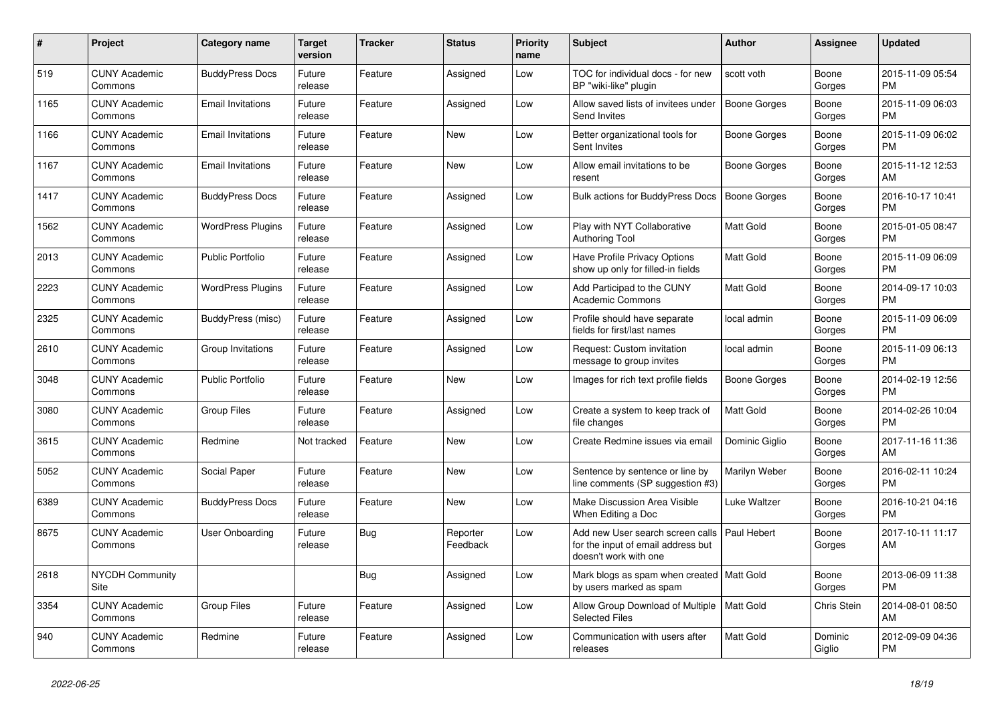| $\#$ | <b>Project</b>                  | Category name            | <b>Target</b><br>version | <b>Tracker</b> | <b>Status</b>        | <b>Priority</b><br>name | <b>Subject</b>                                                                                  | Author              | <b>Assignee</b>   | <b>Updated</b>                |
|------|---------------------------------|--------------------------|--------------------------|----------------|----------------------|-------------------------|-------------------------------------------------------------------------------------------------|---------------------|-------------------|-------------------------------|
| 519  | <b>CUNY Academic</b><br>Commons | <b>BuddyPress Docs</b>   | Future<br>release        | Feature        | Assigned             | Low                     | TOC for individual docs - for new<br>BP "wiki-like" plugin                                      | scott voth          | Boone<br>Gorges   | 2015-11-09 05:54<br><b>PM</b> |
| 1165 | <b>CUNY Academic</b><br>Commons | <b>Email Invitations</b> | Future<br>release        | Feature        | Assigned             | Low                     | Allow saved lists of invitees under<br>Send Invites                                             | <b>Boone Gorges</b> | Boone<br>Gorges   | 2015-11-09 06:03<br><b>PM</b> |
| 1166 | <b>CUNY Academic</b><br>Commons | <b>Email Invitations</b> | Future<br>release        | Feature        | <b>New</b>           | Low                     | Better organizational tools for<br>Sent Invites                                                 | Boone Gorges        | Boone<br>Gorges   | 2015-11-09 06:02<br><b>PM</b> |
| 1167 | <b>CUNY Academic</b><br>Commons | <b>Email Invitations</b> | Future<br>release        | Feature        | <b>New</b>           | Low                     | Allow email invitations to be<br>resent                                                         | Boone Gorges        | Boone<br>Gorges   | 2015-11-12 12:53<br>AM        |
| 1417 | <b>CUNY Academic</b><br>Commons | <b>BuddyPress Docs</b>   | Future<br>release        | Feature        | Assigned             | Low                     | <b>Bulk actions for BuddyPress Docs</b>                                                         | <b>Boone Gorges</b> | Boone<br>Gorges   | 2016-10-17 10:41<br><b>PM</b> |
| 1562 | <b>CUNY Academic</b><br>Commons | <b>WordPress Plugins</b> | Future<br>release        | Feature        | Assigned             | Low                     | Play with NYT Collaborative<br><b>Authoring Tool</b>                                            | Matt Gold           | Boone<br>Gorges   | 2015-01-05 08:47<br><b>PM</b> |
| 2013 | <b>CUNY Academic</b><br>Commons | <b>Public Portfolio</b>  | Future<br>release        | Feature        | Assigned             | Low                     | Have Profile Privacy Options<br>show up only for filled-in fields                               | Matt Gold           | Boone<br>Gorges   | 2015-11-09 06:09<br><b>PM</b> |
| 2223 | <b>CUNY Academic</b><br>Commons | <b>WordPress Plugins</b> | Future<br>release        | Feature        | Assigned             | Low                     | Add Participad to the CUNY<br><b>Academic Commons</b>                                           | Matt Gold           | Boone<br>Gorges   | 2014-09-17 10:03<br><b>PM</b> |
| 2325 | <b>CUNY Academic</b><br>Commons | BuddyPress (misc)        | Future<br>release        | Feature        | Assigned             | Low                     | Profile should have separate<br>fields for first/last names                                     | local admin         | Boone<br>Gorges   | 2015-11-09 06:09<br><b>PM</b> |
| 2610 | <b>CUNY Academic</b><br>Commons | Group Invitations        | Future<br>release        | Feature        | Assigned             | Low                     | Request: Custom invitation<br>message to group invites                                          | local admin         | Boone<br>Gorges   | 2015-11-09 06:13<br><b>PM</b> |
| 3048 | <b>CUNY Academic</b><br>Commons | <b>Public Portfolio</b>  | Future<br>release        | Feature        | <b>New</b>           | Low                     | Images for rich text profile fields                                                             | <b>Boone Gorges</b> | Boone<br>Gorges   | 2014-02-19 12:56<br><b>PM</b> |
| 3080 | <b>CUNY Academic</b><br>Commons | <b>Group Files</b>       | Future<br>release        | Feature        | Assigned             | Low                     | Create a system to keep track of<br>file changes                                                | <b>Matt Gold</b>    | Boone<br>Gorges   | 2014-02-26 10:04<br><b>PM</b> |
| 3615 | <b>CUNY Academic</b><br>Commons | Redmine                  | Not tracked              | Feature        | <b>New</b>           | Low                     | Create Redmine issues via email                                                                 | Dominic Giglio      | Boone<br>Gorges   | 2017-11-16 11:36<br>AM        |
| 5052 | <b>CUNY Academic</b><br>Commons | Social Paper             | Future<br>release        | Feature        | <b>New</b>           | Low                     | Sentence by sentence or line by<br>line comments (SP suggestion #3)                             | Marilyn Weber       | Boone<br>Gorges   | 2016-02-11 10:24<br><b>PM</b> |
| 6389 | <b>CUNY Academic</b><br>Commons | <b>BuddyPress Docs</b>   | Future<br>release        | Feature        | <b>New</b>           | Low                     | Make Discussion Area Visible<br>When Editing a Doc                                              | Luke Waltzer        | Boone<br>Gorges   | 2016-10-21 04:16<br><b>PM</b> |
| 8675 | <b>CUNY Academic</b><br>Commons | <b>User Onboarding</b>   | Future<br>release        | <b>Bug</b>     | Reporter<br>Feedback | Low                     | Add new User search screen calls<br>for the input of email address but<br>doesn't work with one | Paul Hebert         | Boone<br>Gorges   | 2017-10-11 11:17<br>AM        |
| 2618 | <b>NYCDH Community</b><br>Site  |                          |                          | <b>Bug</b>     | Assigned             | Low                     | Mark blogs as spam when created   Matt Gold<br>by users marked as spam                          |                     | Boone<br>Gorges   | 2013-06-09 11:38<br><b>PM</b> |
| 3354 | <b>CUNY Academic</b><br>Commons | <b>Group Files</b>       | Future<br>release        | Feature        | Assigned             | Low                     | Allow Group Download of Multiple   Matt Gold<br><b>Selected Files</b>                           |                     | Chris Stein       | 2014-08-01 08:50<br>AM        |
| 940  | <b>CUNY Academic</b><br>Commons | Redmine                  | Future<br>release        | Feature        | Assigned             | Low                     | Communication with users after<br>releases                                                      | <b>Matt Gold</b>    | Dominic<br>Giglio | 2012-09-09 04:36<br><b>PM</b> |